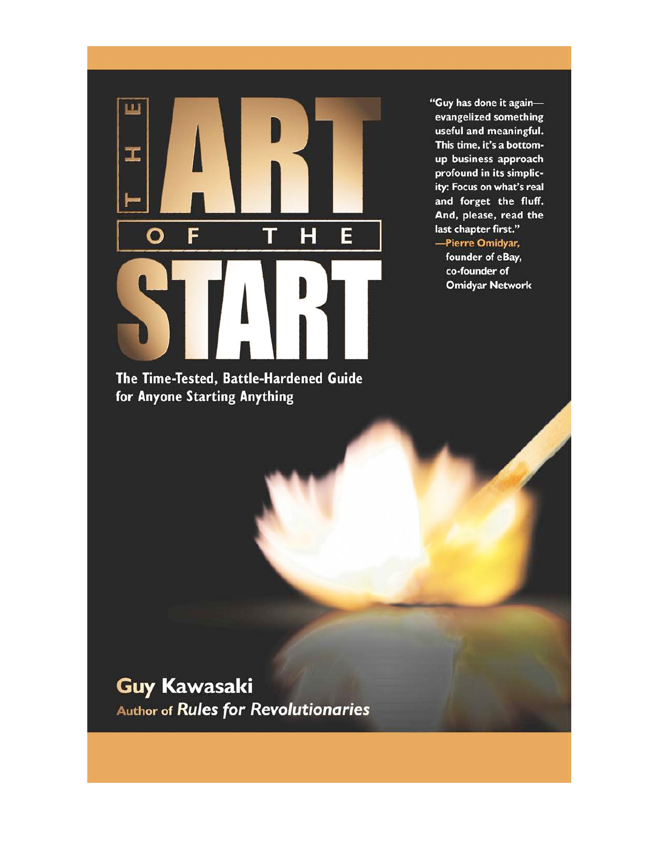

"Guy has done it againevangelized something useful and meaningful. This time, it's a bottomup business approach profound in its simplicity: Focus on what's real and forget the fluff. And, please, read the last chapter first."

#### -Pierre Omidyar,

founder of eBay, co-founder of **Omidyar Network** 

The Time-Tested, Battle-Hardened Guide for Anyone Starting Anything

## **Guy Kawasaki Author of Rules for Revolutionaries**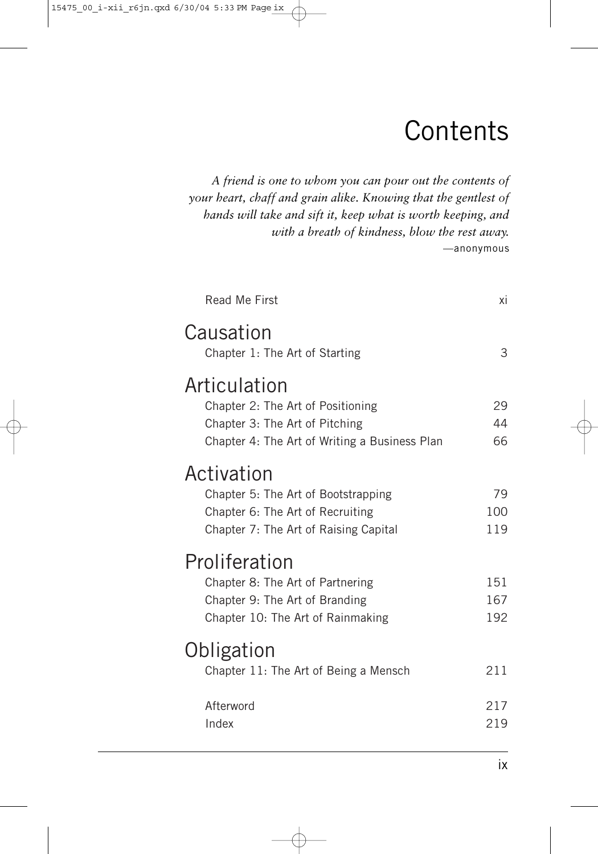# **Contents**

*A friend is one to whom you can pour out the contents of your heart, chaff and grain alike. Knowing that the gentlest of hands will take and sift it, keep what is worth keeping, and with a breath of kindness, blow the rest away.* —anonymous

| <b>Read Me First</b>                          | хi  |
|-----------------------------------------------|-----|
| Causation<br>Chapter 1: The Art of Starting   | 3   |
| Articulation                                  |     |
| Chapter 2: The Art of Positioning             | 29  |
| Chapter 3: The Art of Pitching                | 44  |
| Chapter 4: The Art of Writing a Business Plan | 66  |
| Activation                                    |     |
| Chapter 5: The Art of Bootstrapping           | 79  |
| Chapter 6: The Art of Recruiting              | 100 |
| Chapter 7: The Art of Raising Capital         | 119 |
| Proliferation                                 |     |
| Chapter 8: The Art of Partnering              | 151 |
| Chapter 9: The Art of Branding                | 167 |
| Chapter 10: The Art of Rainmaking             | 192 |
| Obligation                                    |     |
| Chapter 11: The Art of Being a Mensch         | 211 |
| Afterword                                     | 217 |
| Index                                         | 219 |
|                                               |     |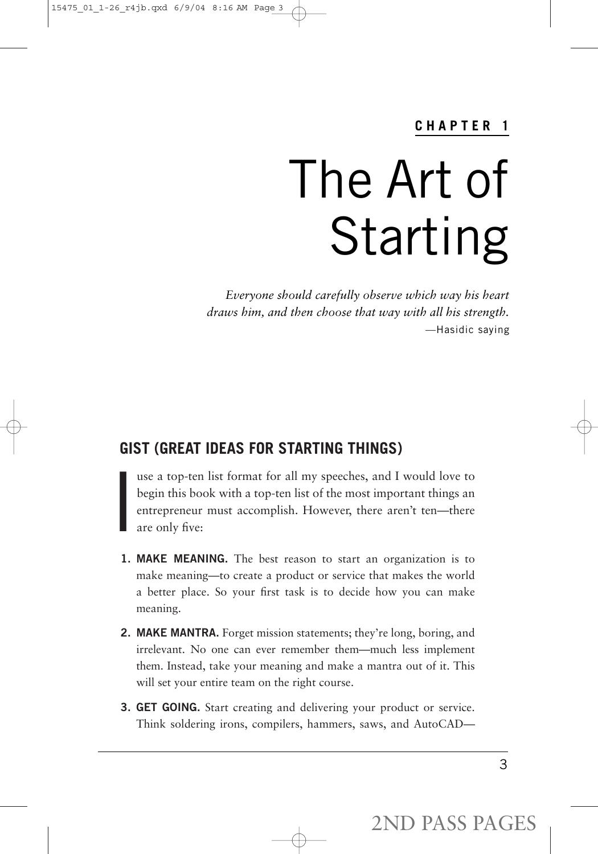## **CHAPTER 1**

# The Art of Starting

*Everyone should carefully observe which way his heart draws him, and then choose that way with all his strength.* —Hasidic saying

## **GIST (GREAT IDEAS FOR STARTING THINGS)**

I use a top-ten list format for all my speeches, and I would love to begin this book with a top-ten list of the most important things an entrepreneur must accomplish. However, there aren't ten—there are only five:

- **1. MAKE MEANING.** The best reason to start an organization is to make meaning—to create a product or service that makes the world a better place. So your first task is to decide how you can make meaning.
- **2. MAKE MANTRA.** Forget mission statements; they're long, boring, and irrelevant. No one can ever remember them—much less implement them. Instead, take your meaning and make a mantra out of it. This will set your entire team on the right course.
- **3. GET GOING.** Start creating and delivering your product or service. Think soldering irons, compilers, hammers, saws, and AutoCAD—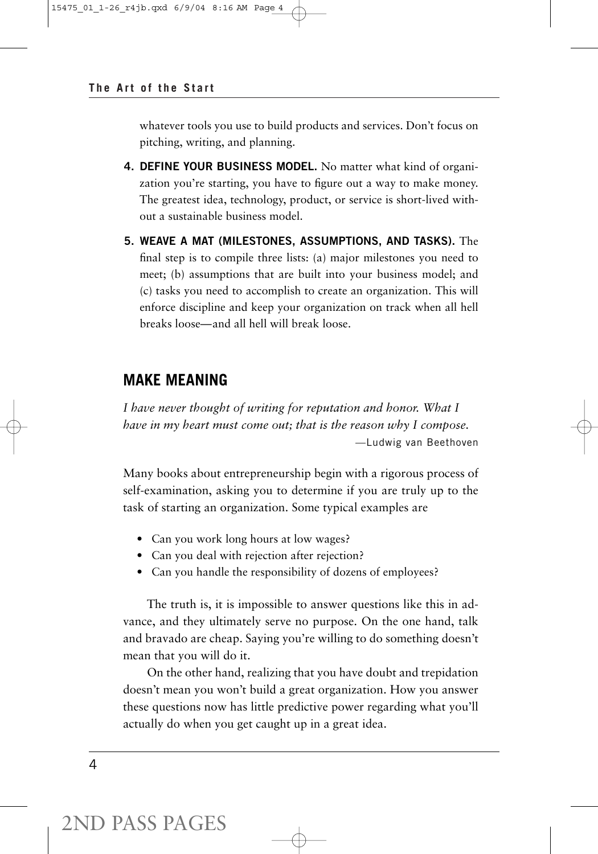whatever tools you use to build products and services. Don't focus on pitching, writing, and planning.

- **4. DEFINE YOUR BUSINESS MODEL.** No matter what kind of organization you're starting, you have to figure out a way to make money. The greatest idea, technology, product, or service is short-lived without a sustainable business model.
- **5. WEAVE A MAT (MILESTONES, ASSUMPTIONS, AND TASKS).** The final step is to compile three lists: (a) major milestones you need to meet; (b) assumptions that are built into your business model; and (c) tasks you need to accomplish to create an organization. This will enforce discipline and keep your organization on track when all hell breaks loose—and all hell will break loose.

## **MAKE MEANING**

*I have never thought of writing for reputation and honor. What I have in my heart must come out; that is the reason why I compose.* —Ludwig van Beethoven

Many books about entrepreneurship begin with a rigorous process of self-examination, asking you to determine if you are truly up to the task of starting an organization. Some typical examples are

- Can you work long hours at low wages?
- Can you deal with rejection after rejection?
- Can you handle the responsibility of dozens of employees?

The truth is, it is impossible to answer questions like this in advance, and they ultimately serve no purpose. On the one hand, talk and bravado are cheap. Saying you're willing to do something doesn't mean that you will do it.

On the other hand, realizing that you have doubt and trepidation doesn't mean you won't build a great organization. How you answer these questions now has little predictive power regarding what you'll actually do when you get caught up in a great idea.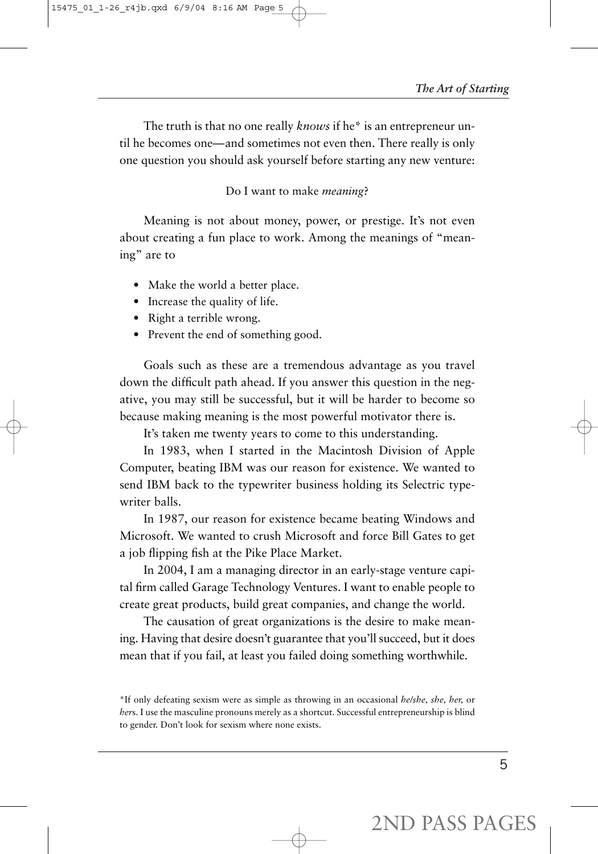The truth is that no one really *knows* if he\* is an entrepreneur until he becomes one—and sometimes not even then. There really is only one question you should ask yourself before starting any new venture:

Do I want to make *meaning*?

Meaning is not about money, power, or prestige. It's not even about creating a fun place to work. Among the meanings of "meaning" are to

- Make the world a better place.
- Increase the quality of life.
- Right a terrible wrong.
- Prevent the end of something good.

Goals such as these are a tremendous advantage as you travel down the difficult path ahead. If you answer this question in the negative, you may still be successful, but it will be harder to become so because making meaning is the most powerful motivator there is.

It's taken me twenty years to come to this understanding.

In 1983, when I started in the Macintosh Division of Apple Computer, beating IBM was our reason for existence. We wanted to send IBM back to the typewriter business holding its Selectric typewriter balls.

In 1987, our reason for existence became beating Windows and Microsoft. We wanted to crush Microsoft and force Bill Gates to get a job flipping fish at the Pike Place Market.

In 2004, I am a managing director in an early-stage venture capital firm called Garage Technology Ventures. I want to enable people to create great products, build great companies, and change the world.

The causation of great organizations is the desire to make meaning. Having that desire doesn't guarantee that you'll succeed, but it does mean that if you fail, at least you failed doing something worthwhile.

<sup>\*</sup>If only defeating sexism were as simple as throwing in an occasional *he/she, she, her,* or *her*s. I use the masculine pronouns merely as a shortcut. Successful entrepreneurship is blind to gender. Don't look for sexism where none exists.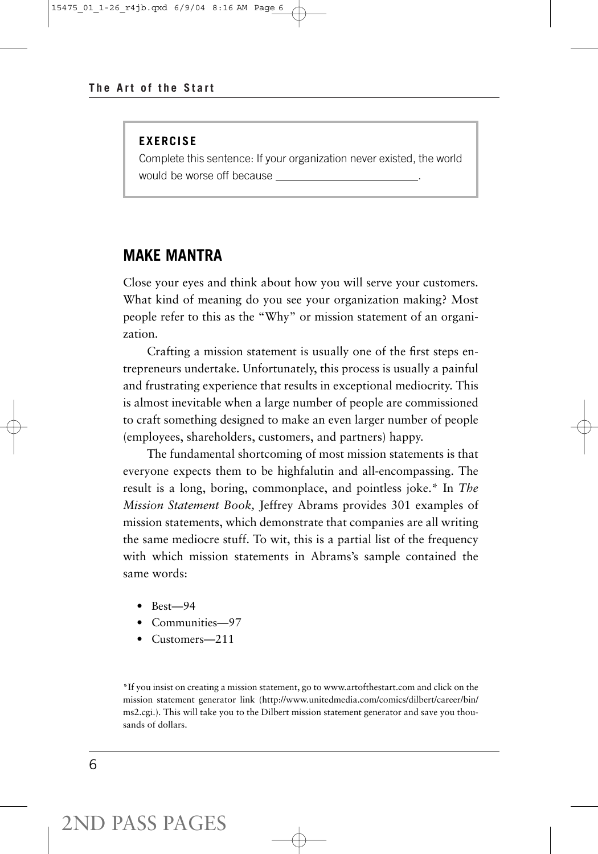#### **EXERCISE**

Complete this sentence: If your organization never existed, the world would be worse off because \_\_\_\_\_\_\_\_\_\_\_\_\_\_\_\_\_\_\_\_\_\_\_\_\_.

## **MAKE MANTRA**

Close your eyes and think about how you will serve your customers. What kind of meaning do you see your organization making? Most people refer to this as the "Why" or mission statement of an organization.

Crafting a mission statement is usually one of the first steps entrepreneurs undertake. Unfortunately, this process is usually a painful and frustrating experience that results in exceptional mediocrity. This is almost inevitable when a large number of people are commissioned to craft something designed to make an even larger number of people (employees, shareholders, customers, and partners) happy.

The fundamental shortcoming of most mission statements is that everyone expects them to be highfalutin and all-encompassing. The result is a long, boring, commonplace, and pointless joke.\* In *The Mission Statement Book,* Jeffrey Abrams provides 301 examples of mission statements, which demonstrate that companies are all writing the same mediocre stuff. To wit, this is a partial list of the frequency with which mission statements in Abrams's sample contained the same words:

- Best—94
- Communities-97
- Customers—211

\*If you insist on creating a mission statement, go to www.artofthestart.com and click on the mission statement generator link (http://www.unitedmedia.com/comics/dilbert/career/bin/ ms2.cgi.). This will take you to the Dilbert mission statement generator and save you thousands of dollars.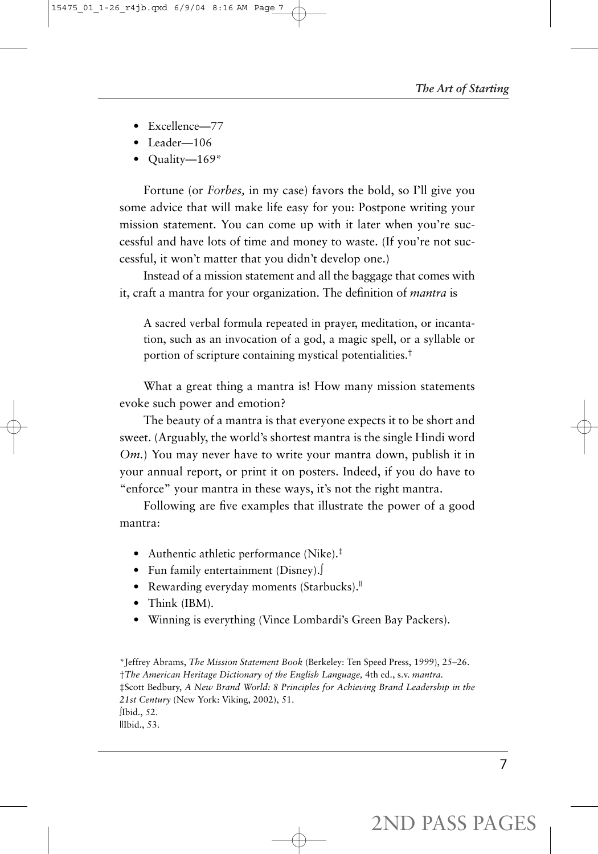- Excellence—77
- Leader—106
- Quality-169\*

Fortune (or *Forbes,* in my case) favors the bold, so I'll give you some advice that will make life easy for you: Postpone writing your mission statement. You can come up with it later when you're successful and have lots of time and money to waste. (If you're not successful, it won't matter that you didn't develop one.)

Instead of a mission statement and all the baggage that comes with it, craft a mantra for your organization. The definition of *mantra* is

A sacred verbal formula repeated in prayer, meditation, or incantation, such as an invocation of a god, a magic spell, or a syllable or portion of scripture containing mystical potentialities.†

What a great thing a mantra is! How many mission statements evoke such power and emotion?

The beauty of a mantra is that everyone expects it to be short and sweet. (Arguably, the world's shortest mantra is the single Hindi word *Om.*) You may never have to write your mantra down, publish it in your annual report, or print it on posters. Indeed, if you do have to "enforce" your mantra in these ways, it's not the right mantra.

Following are five examples that illustrate the power of a good mantra:

- Authentic athletic performance (Nike).<sup>‡</sup>
- Fun family entertainment (Disney).∫
- Rewarding everyday moments (Starbucks).<sup>||</sup>
- Think (IBM).
- Winning is everything (Vince Lombardi's Green Bay Packers).

\*Jeffrey Abrams, *The Mission Statement Book* (Berkeley: Ten Speed Press, 1999), 25–26. †*The American Heritage Dictionary of the English Language,* 4th ed., s.v. *mantra.* ‡Scott Bedbury, *A New Brand World: 8 Principles for Achieving Brand Leadership in the 21st Century* (New York: Viking, 2002), 51. ∫Ibid., 52. ||Ibid., 53.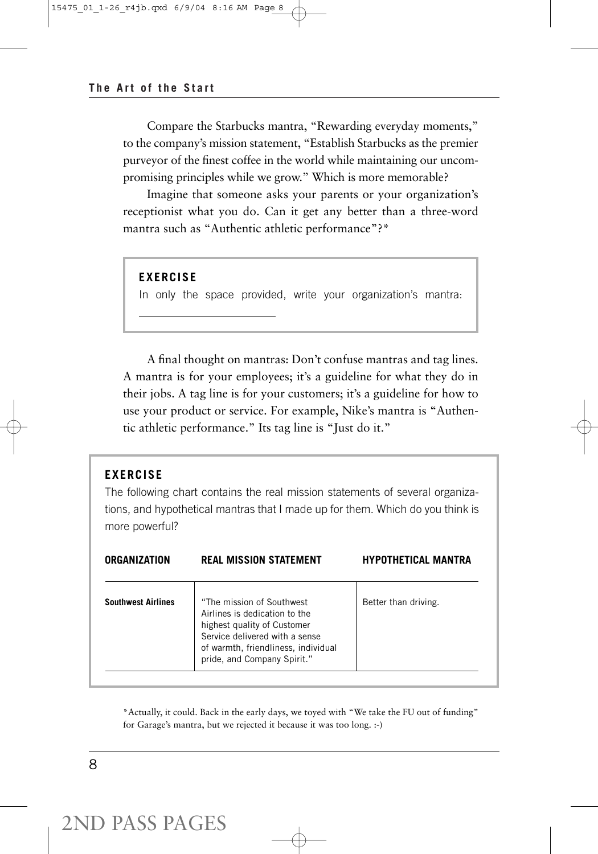Compare the Starbucks mantra, "Rewarding everyday moments," to the company's mission statement, "Establish Starbucks as the premier purveyor of the finest coffee in the world while maintaining our uncompromising principles while we grow." Which is more memorable?

Imagine that someone asks your parents or your organization's receptionist what you do. Can it get any better than a three-word mantra such as "Authentic athletic performance"?\*

#### **EXERCISE**

\_\_\_\_\_\_\_\_\_\_\_\_\_\_\_\_\_\_\_\_\_\_\_\_

In only the space provided, write your organization's mantra:

A final thought on mantras: Don't confuse mantras and tag lines. A mantra is for your employees; it's a guideline for what they do in their jobs. A tag line is for your customers; it's a guideline for how to use your product or service. For example, Nike's mantra is "Authentic athletic performance." Its tag line is "Just do it."

#### **EXERCISE**

The following chart contains the real mission statements of several organizations, and hypothetical mantras that I made up for them. Which do you think is more powerful?

| <b>ORGANIZATION</b>       | <b>REAL MISSION STATEMENT</b>                                                                                                                                                                      | <b>HYPOTHETICAL MANTRA</b> |
|---------------------------|----------------------------------------------------------------------------------------------------------------------------------------------------------------------------------------------------|----------------------------|
| <b>Southwest Airlines</b> | "The mission of Southwest"<br>Airlines is dedication to the<br>highest quality of Customer<br>Service delivered with a sense<br>of warmth, friendliness, individual<br>pride, and Company Spirit." | Better than driving.       |

\*Actually, it could. Back in the early days, we toyed with "We take the FU out of funding" for Garage's mantra, but we rejected it because it was too long. :-)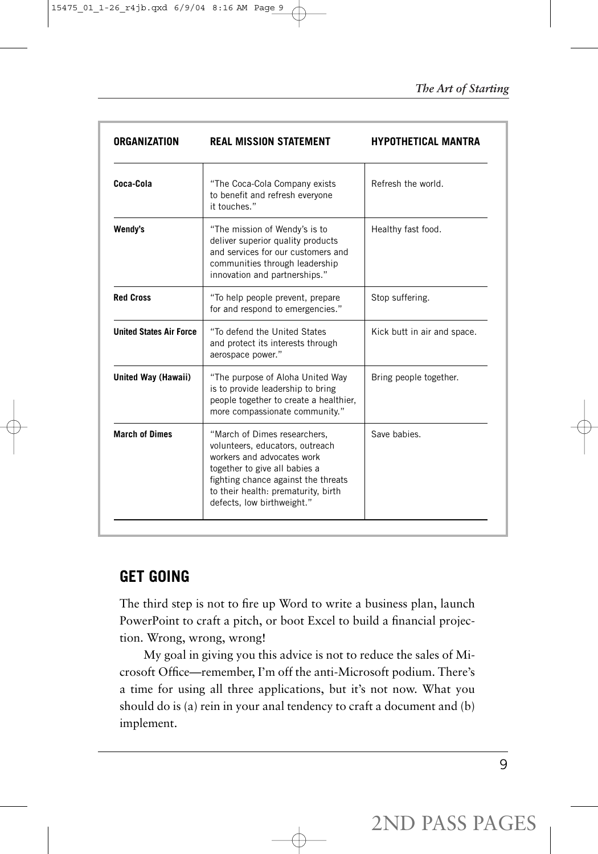| <b>ORGANIZATION</b>            | <b>REAL MISSION STATEMENT</b>                                                                                                                                                                                                              | <b>HYPOTHETICAL MANTRA</b>  |
|--------------------------------|--------------------------------------------------------------------------------------------------------------------------------------------------------------------------------------------------------------------------------------------|-----------------------------|
| Coca-Cola                      | "The Coca-Cola Company exists<br>to benefit and refresh everyone<br>it touches."                                                                                                                                                           | Refresh the world.          |
| Wendy's                        | "The mission of Wendy's is to<br>deliver superior quality products<br>and services for our customers and<br>communities through leadership<br>innovation and partnerships."                                                                | Healthy fast food.          |
| <b>Red Cross</b>               | "To help people prevent, prepare<br>for and respond to emergencies."                                                                                                                                                                       | Stop suffering.             |
| <b>United States Air Force</b> | "To defend the United States<br>and protect its interests through<br>aerospace power."                                                                                                                                                     | Kick butt in air and space. |
| United Way (Hawaii)            | "The purpose of Aloha United Way<br>is to provide leadership to bring<br>people together to create a healthier,<br>more compassionate community."                                                                                          | Bring people together.      |
| <b>March of Dimes</b>          | "March of Dimes researchers,<br>volunteers, educators, outreach<br>workers and advocates work<br>together to give all babies a<br>fighting chance against the threats<br>to their health: prematurity, birth<br>defects, low birthweight." | Save babies.                |

## **GET GOING**

The third step is not to fire up Word to write a business plan, launch PowerPoint to craft a pitch, or boot Excel to build a financial projection. Wrong, wrong, wrong!

My goal in giving you this advice is not to reduce the sales of Microsoft Office—remember, I'm off the anti-Microsoft podium. There's a time for using all three applications, but it's not now. What you should do is (a) rein in your anal tendency to craft a document and (b) implement.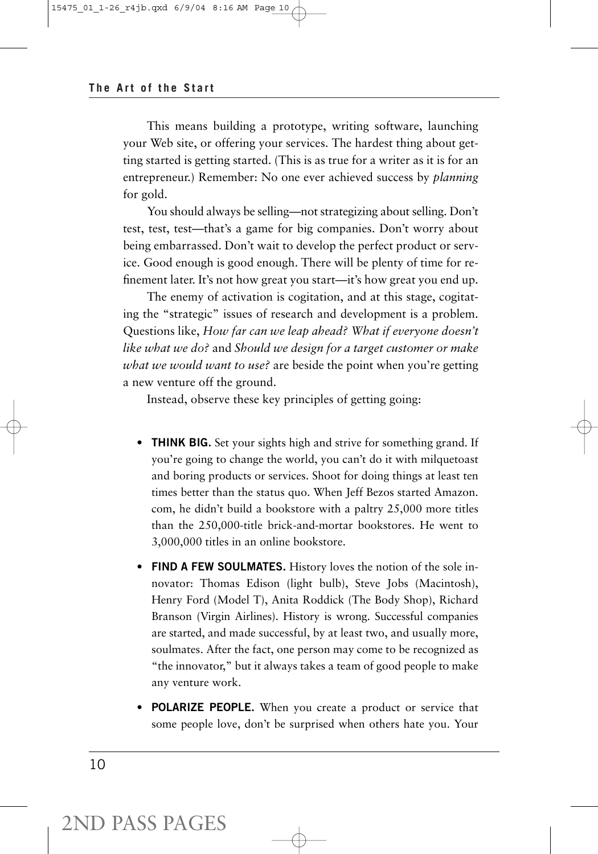This means building a prototype, writing software, launching your Web site, or offering your services. The hardest thing about getting started is getting started. (This is as true for a writer as it is for an entrepreneur.) Remember: No one ever achieved success by *planning* for gold.

You should always be selling—not strategizing about selling. Don't test, test, test—that's a game for big companies. Don't worry about being embarrassed. Don't wait to develop the perfect product or service. Good enough is good enough. There will be plenty of time for refinement later. It's not how great you start—it's how great you end up.

The enemy of activation is cogitation, and at this stage, cogitating the "strategic" issues of research and development is a problem. Questions like, *How far can we leap ahead? What if everyone doesn't like what we do?* and *Should we design for a target customer or make what we would want to use?* are beside the point when you're getting a new venture off the ground.

Instead, observe these key principles of getting going:

- **THINK BIG.** Set your sights high and strive for something grand. If you're going to change the world, you can't do it with milquetoast and boring products or services. Shoot for doing things at least ten times better than the status quo. When Jeff Bezos started Amazon. com, he didn't build a bookstore with a paltry 25,000 more titles than the 250,000-title brick-and-mortar bookstores. He went to 3,000,000 titles in an online bookstore.
- **FIND A FEW SOULMATES.** History loves the notion of the sole innovator: Thomas Edison (light bulb), Steve Jobs (Macintosh), Henry Ford (Model T), Anita Roddick (The Body Shop), Richard Branson (Virgin Airlines). History is wrong. Successful companies are started, and made successful, by at least two, and usually more, soulmates. After the fact, one person may come to be recognized as "the innovator," but it always takes a team of good people to make any venture work.
- **POLARIZE PEOPLE.** When you create a product or service that some people love, don't be surprised when others hate you. Your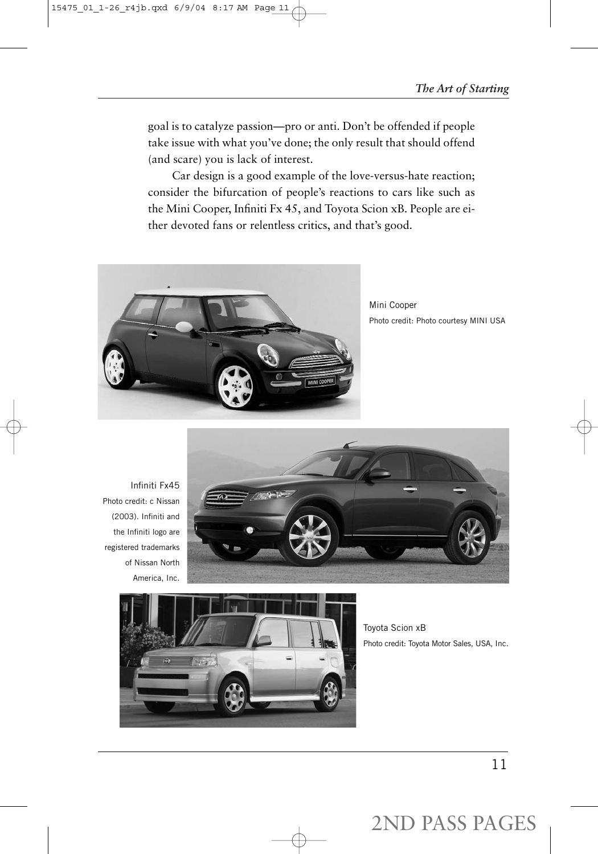goal is to catalyze passion—pro or anti. Don't be offended if people take issue with what you've done; the only result that should offend (and scare) you is lack of interest.

Car design is a good example of the love-versus-hate reaction; consider the bifurcation of people's reactions to cars like such as the Mini Cooper, Infiniti Fx 45, and Toyota Scion xB. People are either devoted fans or relentless critics, and that's good.



Mini Cooper Photo credit: Photo courtesy MINI USA







Toyota Scion xB Photo credit: Toyota Motor Sales, USA, Inc.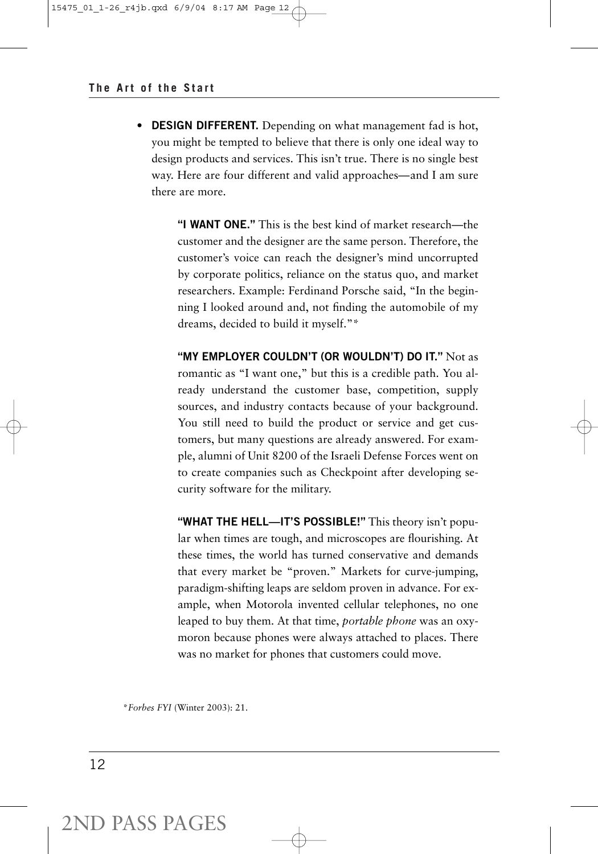• **DESIGN DIFFERENT.** Depending on what management fad is hot, you might be tempted to believe that there is only one ideal way to design products and services. This isn't true. There is no single best way. Here are four different and valid approaches—and I am sure there are more.

> **"I WANT ONE."** This is the best kind of market research—the customer and the designer are the same person. Therefore, the customer's voice can reach the designer's mind uncorrupted by corporate politics, reliance on the status quo, and market researchers. Example: Ferdinand Porsche said, "In the beginning I looked around and, not finding the automobile of my dreams, decided to build it myself."\*

> **"MY EMPLOYER COULDN'T (OR WOULDN'T) DO IT."** Not as romantic as "I want one," but this is a credible path. You already understand the customer base, competition, supply sources, and industry contacts because of your background. You still need to build the product or service and get customers, but many questions are already answered. For example, alumni of Unit 8200 of the Israeli Defense Forces went on to create companies such as Checkpoint after developing security software for the military.

> **"WHAT THE HELL—IT'S POSSIBLE!"** This theory isn't popular when times are tough, and microscopes are flourishing. At these times, the world has turned conservative and demands that every market be "proven." Markets for curve-jumping, paradigm-shifting leaps are seldom proven in advance. For example, when Motorola invented cellular telephones, no one leaped to buy them. At that time, *portable phone* was an oxymoron because phones were always attached to places. There was no market for phones that customers could move.

<sup>\*</sup>*Forbes FYI* (Winter 2003): 21.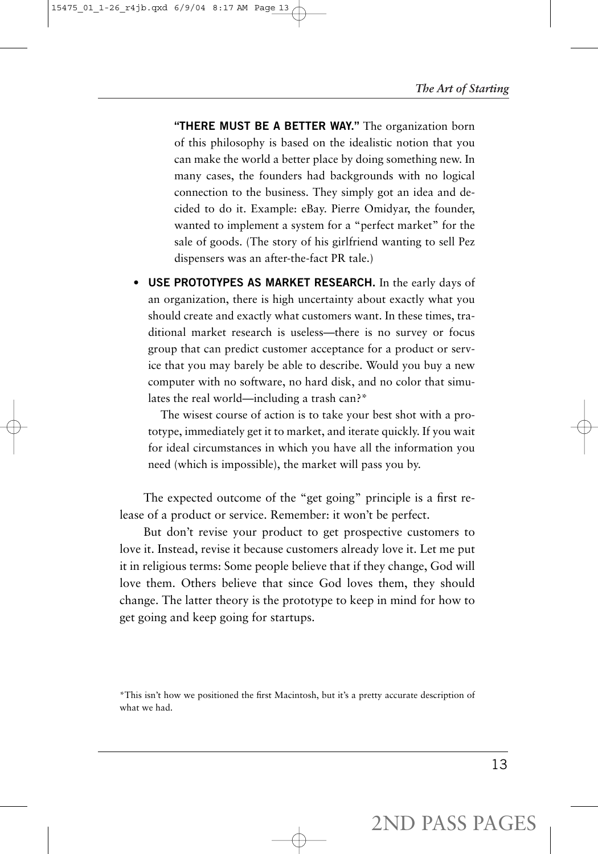**"THERE MUST BE A BETTER WAY."** The organization born of this philosophy is based on the idealistic notion that you can make the world a better place by doing something new. In many cases, the founders had backgrounds with no logical connection to the business. They simply got an idea and decided to do it. Example: eBay. Pierre Omidyar, the founder, wanted to implement a system for a "perfect market" for the sale of goods. (The story of his girlfriend wanting to sell Pez dispensers was an after-the-fact PR tale.)

• **USE PROTOTYPES AS MARKET RESEARCH.** In the early days of an organization, there is high uncertainty about exactly what you should create and exactly what customers want. In these times, traditional market research is useless—there is no survey or focus group that can predict customer acceptance for a product or service that you may barely be able to describe. Would you buy a new computer with no software, no hard disk, and no color that simulates the real world—including a trash can?\*

The wisest course of action is to take your best shot with a prototype, immediately get it to market, and iterate quickly. If you wait for ideal circumstances in which you have all the information you need (which is impossible), the market will pass you by.

The expected outcome of the "get going" principle is a first release of a product or service. Remember: it won't be perfect.

But don't revise your product to get prospective customers to love it. Instead, revise it because customers already love it. Let me put it in religious terms: Some people believe that if they change, God will love them. Others believe that since God loves them, they should change. The latter theory is the prototype to keep in mind for how to get going and keep going for startups.

<sup>\*</sup>This isn't how we positioned the first Macintosh, but it's a pretty accurate description of what we had.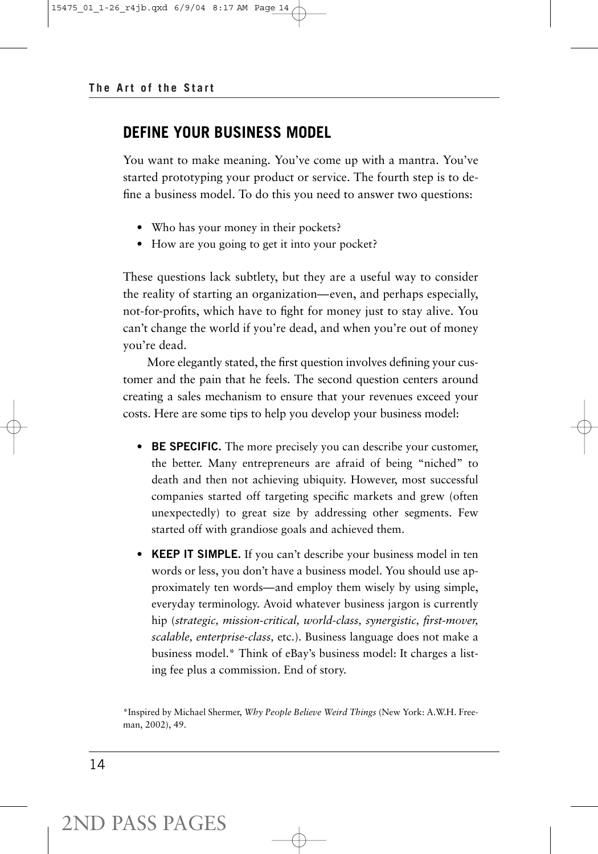## **DEFINE YOUR BUSINESS MODEL**

You want to make meaning. You've come up with a mantra. You've started prototyping your product or service. The fourth step is to define a business model. To do this you need to answer two questions:

- Who has your money in their pockets?
- How are you going to get it into your pocket?

These questions lack subtlety, but they are a useful way to consider the reality of starting an organization—even, and perhaps especially, not-for-profits, which have to fight for money just to stay alive. You can't change the world if you're dead, and when you're out of money you're dead.

More elegantly stated, the first question involves defining your customer and the pain that he feels. The second question centers around creating a sales mechanism to ensure that your revenues exceed your costs. Here are some tips to help you develop your business model:

- **BE SPECIFIC.** The more precisely you can describe your customer, the better. Many entrepreneurs are afraid of being "niched" to death and then not achieving ubiquity. However, most successful companies started off targeting specific markets and grew (often unexpectedly) to great size by addressing other segments. Few started off with grandiose goals and achieved them.
- **KEEP IT SIMPLE.** If you can't describe your business model in ten words or less, you don't have a business model. You should use approximately ten words—and employ them wisely by using simple, everyday terminology. Avoid whatever business jargon is currently hip (*strategic, mission-critical, world-class, synergistic, first-mover, scalable, enterprise-class,* etc.). Business language does not make a business model.\* Think of eBay's business model: It charges a listing fee plus a commission. End of story.

<sup>\*</sup>Inspired by Michael Shermer, *Why People Believe Weird Things* (New York: A.W.H. Freeman, 2002), 49.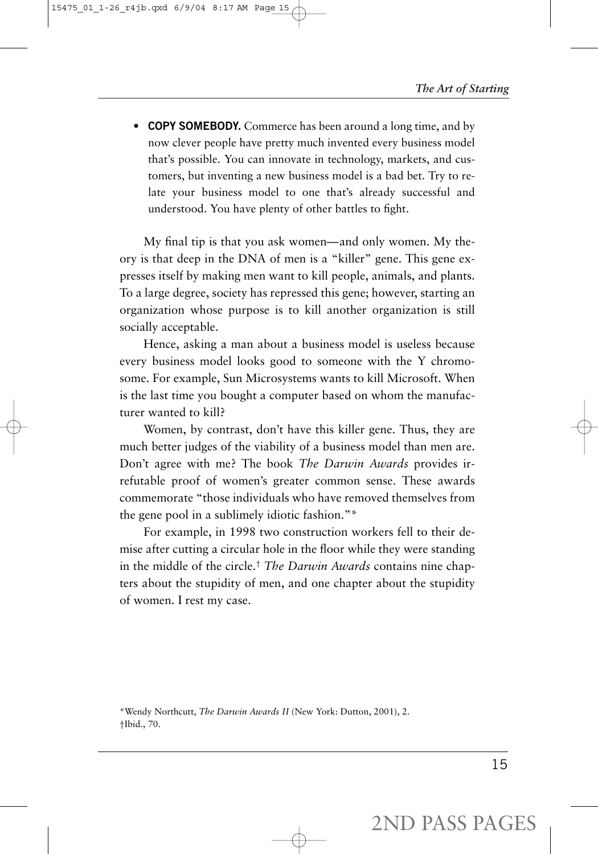• **COPY SOMEBODY.** Commerce has been around a long time, and by now clever people have pretty much invented every business model that's possible. You can innovate in technology, markets, and customers, but inventing a new business model is a bad bet. Try to relate your business model to one that's already successful and understood. You have plenty of other battles to fight.

My final tip is that you ask women—and only women. My theory is that deep in the DNA of men is a "killer" gene. This gene expresses itself by making men want to kill people, animals, and plants. To a large degree, society has repressed this gene; however, starting an organization whose purpose is to kill another organization is still socially acceptable.

Hence, asking a man about a business model is useless because every business model looks good to someone with the Y chromosome. For example, Sun Microsystems wants to kill Microsoft. When is the last time you bought a computer based on whom the manufacturer wanted to kill?

Women, by contrast, don't have this killer gene. Thus, they are much better judges of the viability of a business model than men are. Don't agree with me? The book *The Darwin Awards* provides irrefutable proof of women's greater common sense. These awards commemorate "those individuals who have removed themselves from the gene pool in a sublimely idiotic fashion."\*

For example, in 1998 two construction workers fell to their demise after cutting a circular hole in the floor while they were standing in the middle of the circle.† *The Darwin Awards* contains nine chapters about the stupidity of men, and one chapter about the stupidity of women. I rest my case.

<sup>\*</sup>Wendy Northcutt, *The Darwin Awards II* (New York: Dutton, 2001), 2. †Ibid., 70.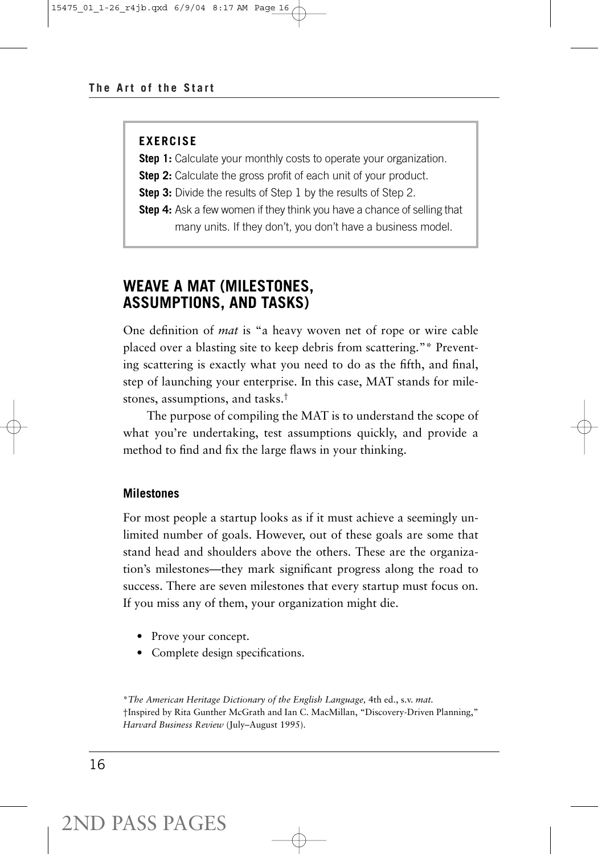#### **EXERCISE**

**Step 1:** Calculate your monthly costs to operate your organization.

**Step 2:** Calculate the gross profit of each unit of your product.

**Step 3:** Divide the results of Step 1 by the results of Step 2.

**Step 4:** Ask a few women if they think you have a chance of selling that many units. If they don't, you don't have a business model.

## **WEAVE A MAT (MILESTONES, ASSUMPTIONS, AND TASKS)**

One definition of *mat* is "a heavy woven net of rope or wire cable placed over a blasting site to keep debris from scattering."\* Preventing scattering is exactly what you need to do as the fifth, and final, step of launching your enterprise. In this case, MAT stands for milestones, assumptions, and tasks.†

The purpose of compiling the MAT is to understand the scope of what you're undertaking, test assumptions quickly, and provide a method to find and fix the large flaws in your thinking.

#### **Milestones**

For most people a startup looks as if it must achieve a seemingly unlimited number of goals. However, out of these goals are some that stand head and shoulders above the others. These are the organization's milestones—they mark significant progress along the road to success. There are seven milestones that every startup must focus on. If you miss any of them, your organization might die.

- Prove your concept.
- Complete design specifications.

\**The American Heritage Dictionary of the English Language,* 4th ed., s.v. *mat.* †Inspired by Rita Gunther McGrath and Ian C. MacMillan, "Discovery-Driven Planning," *Harvard Business Review* (July–August 1995).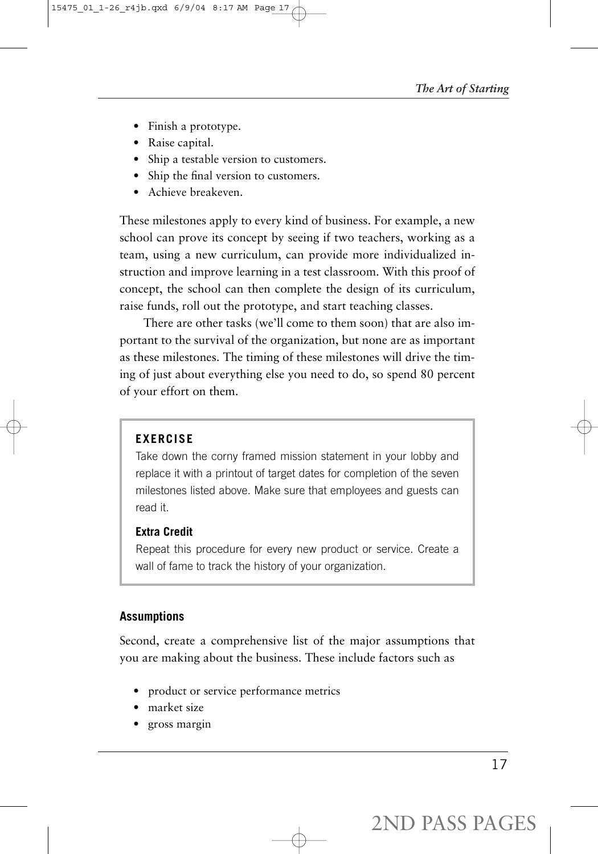- Finish a prototype.
- Raise capital.
- Ship a testable version to customers.
- Ship the final version to customers.
- Achieve breakeven.

These milestones apply to every kind of business. For example, a new school can prove its concept by seeing if two teachers, working as a team, using a new curriculum, can provide more individualized instruction and improve learning in a test classroom. With this proof of concept, the school can then complete the design of its curriculum, raise funds, roll out the prototype, and start teaching classes.

There are other tasks (we'll come to them soon) that are also important to the survival of the organization, but none are as important as these milestones. The timing of these milestones will drive the timing of just about everything else you need to do, so spend 80 percent of your effort on them.

### **EXERCISE**

Take down the corny framed mission statement in your lobby and replace it with a printout of target dates for completion of the seven milestones listed above. Make sure that employees and guests can read it.

#### **Extra Credit**

Repeat this procedure for every new product or service. Create a wall of fame to track the history of your organization.

### **Assumptions**

Second, create a comprehensive list of the major assumptions that you are making about the business. These include factors such as

- product or service performance metrics
- market size
- gross margin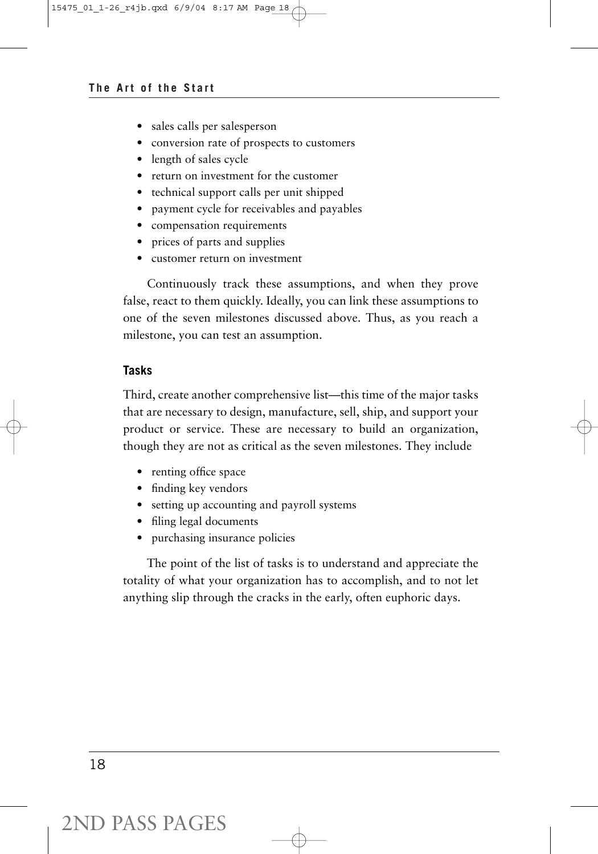- sales calls per salesperson
- conversion rate of prospects to customers
- length of sales cycle
- return on investment for the customer
- technical support calls per unit shipped
- payment cycle for receivables and payables
- compensation requirements
- prices of parts and supplies
- customer return on investment

Continuously track these assumptions, and when they prove false, react to them quickly. Ideally, you can link these assumptions to one of the seven milestones discussed above. Thus, as you reach a milestone, you can test an assumption.

#### **Tasks**

Third, create another comprehensive list—this time of the major tasks that are necessary to design, manufacture, sell, ship, and support your product or service. These are necessary to build an organization, though they are not as critical as the seven milestones. They include

- renting office space
- finding key vendors
- setting up accounting and payroll systems
- filing legal documents
- purchasing insurance policies

The point of the list of tasks is to understand and appreciate the totality of what your organization has to accomplish, and to not let anything slip through the cracks in the early, often euphoric days.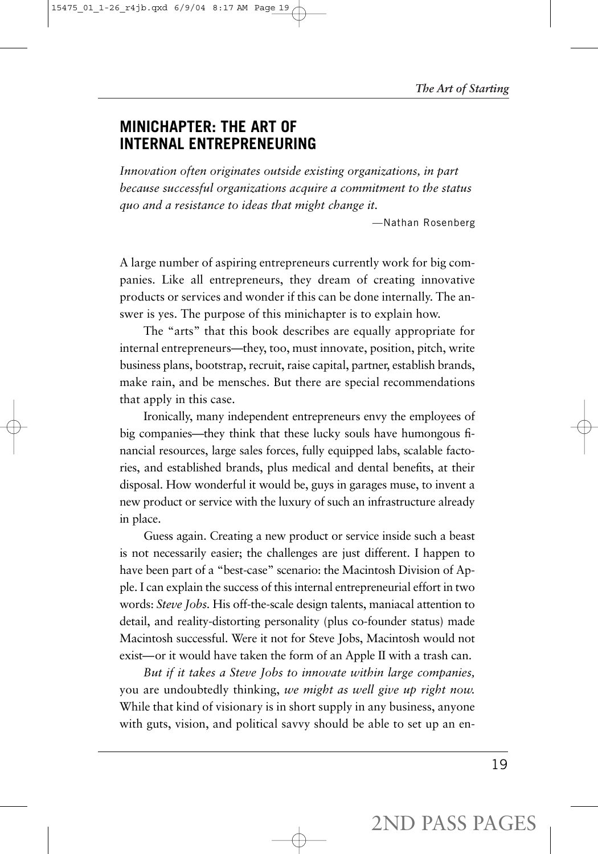## **MINICHAPTER: THE ART OF INTERNAL ENTREPRENEURING**

*Innovation often originates outside existing organizations, in part because successful organizations acquire a commitment to the status quo and a resistance to ideas that might change it.*

—Nathan Rosenberg

A large number of aspiring entrepreneurs currently work for big companies. Like all entrepreneurs, they dream of creating innovative products or services and wonder if this can be done internally. The answer is yes. The purpose of this minichapter is to explain how.

The "arts" that this book describes are equally appropriate for internal entrepreneurs—they, too, must innovate, position, pitch, write business plans, bootstrap, recruit, raise capital, partner, establish brands, make rain, and be mensches. But there are special recommendations that apply in this case.

Ironically, many independent entrepreneurs envy the employees of big companies—they think that these lucky souls have humongous financial resources, large sales forces, fully equipped labs, scalable factories, and established brands, plus medical and dental benefits, at their disposal. How wonderful it would be, guys in garages muse, to invent a new product or service with the luxury of such an infrastructure already in place.

Guess again. Creating a new product or service inside such a beast is not necessarily easier; the challenges are just different. I happen to have been part of a "best-case" scenario: the Macintosh Division of Apple. I can explain the success of this internal entrepreneurial effort in two words: *Steve Jobs.* His off-the-scale design talents, maniacal attention to detail, and reality-distorting personality (plus co-founder status) made Macintosh successful. Were it not for Steve Jobs, Macintosh would not exist—or it would have taken the form of an Apple II with a trash can.

*But if it takes a Steve Jobs to innovate within large companies,* you are undoubtedly thinking, *we might as well give up right now.* While that kind of visionary is in short supply in any business, anyone with guts, vision, and political savvy should be able to set up an en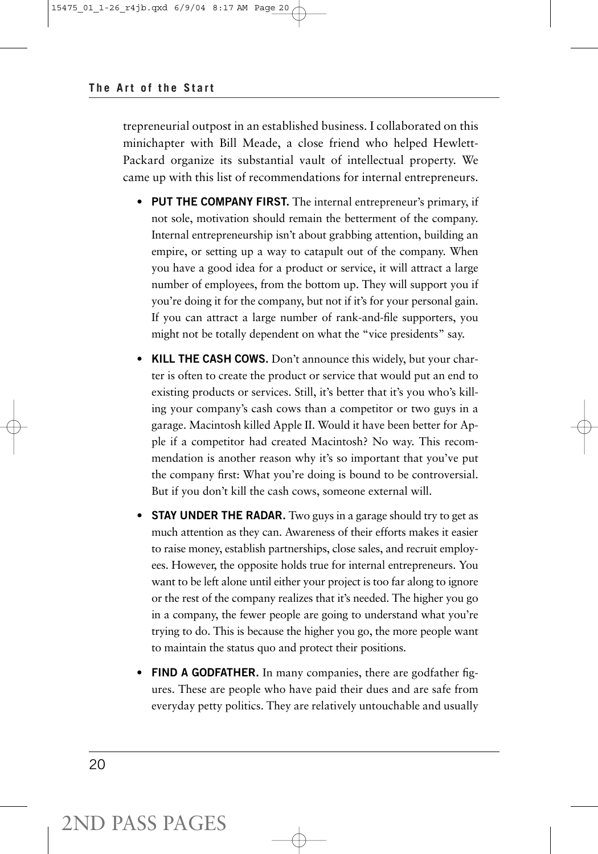trepreneurial outpost in an established business. I collaborated on this minichapter with Bill Meade, a close friend who helped Hewlett-Packard organize its substantial vault of intellectual property. We came up with this list of recommendations for internal entrepreneurs.

- **PUT THE COMPANY FIRST.** The internal entrepreneur's primary, if not sole, motivation should remain the betterment of the company. Internal entrepreneurship isn't about grabbing attention, building an empire, or setting up a way to catapult out of the company. When you have a good idea for a product or service, it will attract a large number of employees, from the bottom up. They will support you if you're doing it for the company, but not if it's for your personal gain. If you can attract a large number of rank-and-file supporters, you might not be totally dependent on what the "vice presidents" say.
- **KILL THE CASH COWS.** Don't announce this widely, but your charter is often to create the product or service that would put an end to existing products or services. Still, it's better that it's you who's killing your company's cash cows than a competitor or two guys in a garage. Macintosh killed Apple II. Would it have been better for Apple if a competitor had created Macintosh? No way. This recommendation is another reason why it's so important that you've put the company first: What you're doing is bound to be controversial. But if you don't kill the cash cows, someone external will.
- **STAY UNDER THE RADAR.** Two guys in a garage should try to get as much attention as they can. Awareness of their efforts makes it easier to raise money, establish partnerships, close sales, and recruit employees. However, the opposite holds true for internal entrepreneurs. You want to be left alone until either your project is too far along to ignore or the rest of the company realizes that it's needed. The higher you go in a company, the fewer people are going to understand what you're trying to do. This is because the higher you go, the more people want to maintain the status quo and protect their positions.
- **FIND A GODFATHER.** In many companies, there are godfather figures. These are people who have paid their dues and are safe from everyday petty politics. They are relatively untouchable and usually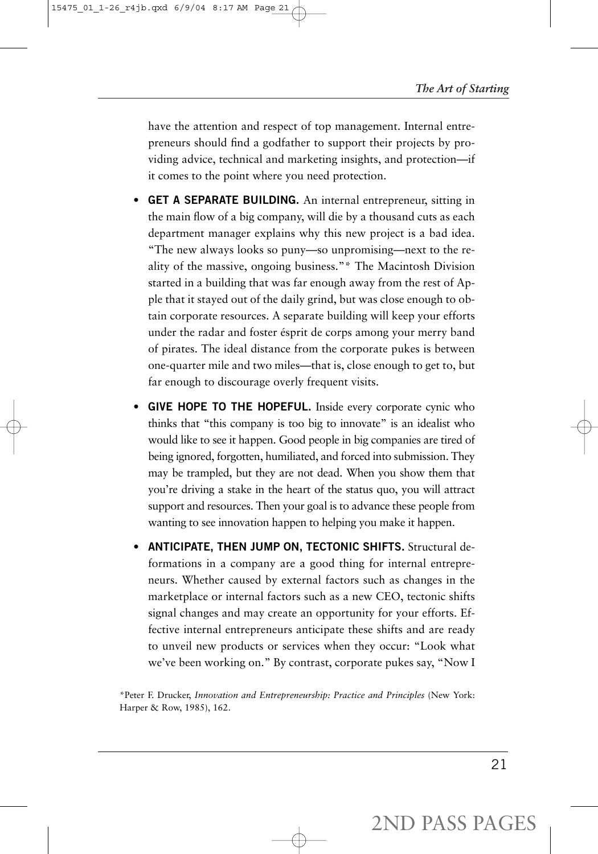have the attention and respect of top management. Internal entrepreneurs should find a godfather to support their projects by providing advice, technical and marketing insights, and protection—if it comes to the point where you need protection.

- **GET A SEPARATE BUILDING.** An internal entrepreneur, sitting in the main flow of a big company, will die by a thousand cuts as each department manager explains why this new project is a bad idea. "The new always looks so puny—so unpromising—next to the reality of the massive, ongoing business."\* The Macintosh Division started in a building that was far enough away from the rest of Apple that it stayed out of the daily grind, but was close enough to obtain corporate resources. A separate building will keep your efforts under the radar and foster ésprit de corps among your merry band of pirates. The ideal distance from the corporate pukes is between one-quarter mile and two miles—that is, close enough to get to, but far enough to discourage overly frequent visits.
- **GIVE HOPE TO THE HOPEFUL.** Inside every corporate cynic who thinks that "this company is too big to innovate" is an idealist who would like to see it happen. Good people in big companies are tired of being ignored, forgotten, humiliated, and forced into submission. They may be trampled, but they are not dead. When you show them that you're driving a stake in the heart of the status quo, you will attract support and resources. Then your goal is to advance these people from wanting to see innovation happen to helping you make it happen.
- **ANTICIPATE, THEN JUMP ON, TECTONIC SHIFTS.** Structural deformations in a company are a good thing for internal entrepreneurs. Whether caused by external factors such as changes in the marketplace or internal factors such as a new CEO, tectonic shifts signal changes and may create an opportunity for your efforts. Effective internal entrepreneurs anticipate these shifts and are ready to unveil new products or services when they occur: "Look what we've been working on." By contrast, corporate pukes say, "Now I

<sup>\*</sup>Peter F. Drucker, *Innovation and Entrepreneurship: Practice and Principles* (New York: Harper & Row, 1985), 162.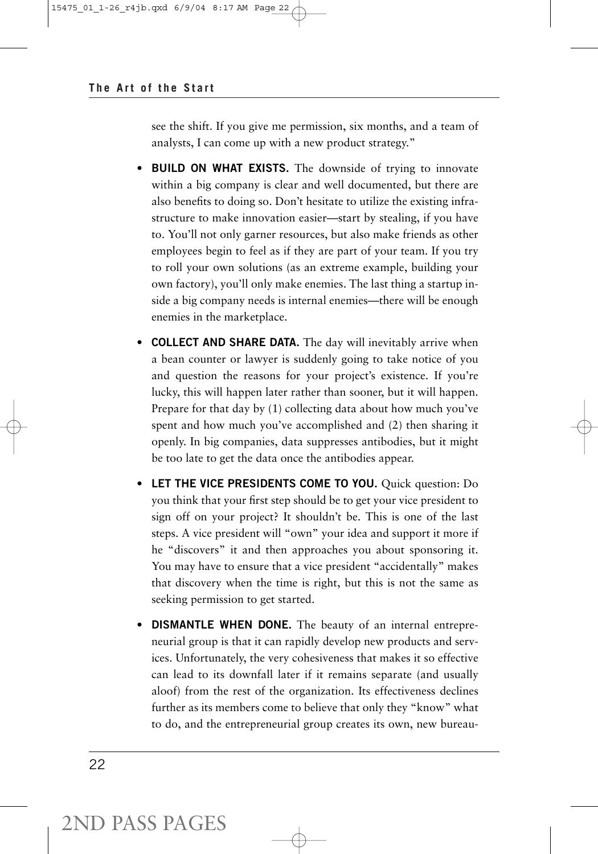see the shift. If you give me permission, six months, and a team of analysts, I can come up with a new product strategy."

- **BUILD ON WHAT EXISTS.** The downside of trying to innovate within a big company is clear and well documented, but there are also benefits to doing so. Don't hesitate to utilize the existing infrastructure to make innovation easier—start by stealing, if you have to. You'll not only garner resources, but also make friends as other employees begin to feel as if they are part of your team. If you try to roll your own solutions (as an extreme example, building your own factory), you'll only make enemies. The last thing a startup inside a big company needs is internal enemies—there will be enough enemies in the marketplace.
- **COLLECT AND SHARE DATA.** The day will inevitably arrive when a bean counter or lawyer is suddenly going to take notice of you and question the reasons for your project's existence. If you're lucky, this will happen later rather than sooner, but it will happen. Prepare for that day by (1) collecting data about how much you've spent and how much you've accomplished and (2) then sharing it openly. In big companies, data suppresses antibodies, but it might be too late to get the data once the antibodies appear.
- **LET THE VICE PRESIDENTS COME TO YOU.** Quick question: Do you think that your first step should be to get your vice president to sign off on your project? It shouldn't be. This is one of the last steps. A vice president will "own" your idea and support it more if he "discovers" it and then approaches you about sponsoring it. You may have to ensure that a vice president "accidentally" makes that discovery when the time is right, but this is not the same as seeking permission to get started.
- **DISMANTLE WHEN DONE.** The beauty of an internal entrepreneurial group is that it can rapidly develop new products and services. Unfortunately, the very cohesiveness that makes it so effective can lead to its downfall later if it remains separate (and usually aloof) from the rest of the organization. Its effectiveness declines further as its members come to believe that only they "know" what to do, and the entrepreneurial group creates its own, new bureau-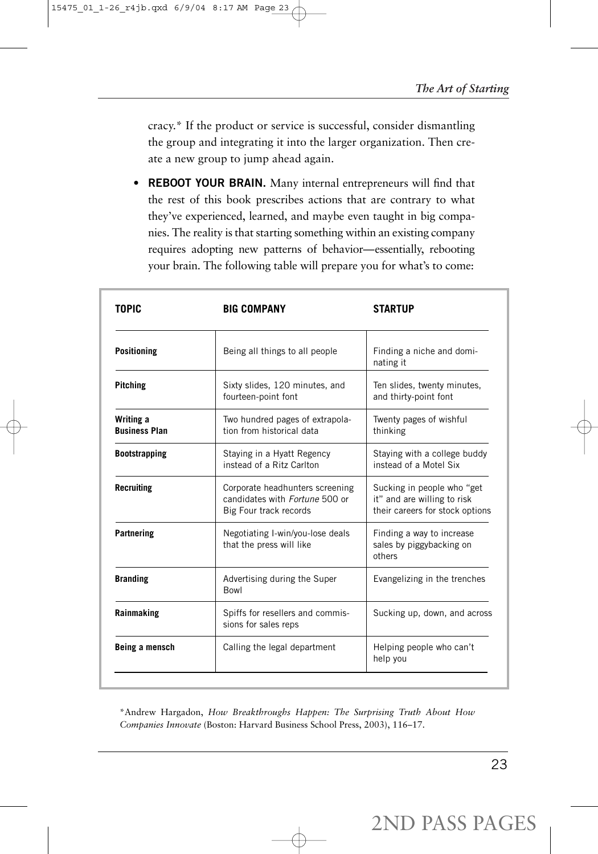cracy.\* If the product or service is successful, consider dismantling the group and integrating it into the larger organization. Then create a new group to jump ahead again.

• **REBOOT YOUR BRAIN.** Many internal entrepreneurs will find that the rest of this book prescribes actions that are contrary to what they've experienced, learned, and maybe even taught in big companies. The reality is that starting something within an existing company requires adopting new patterns of behavior—essentially, rebooting your brain. The following table will prepare you for what's to come:

| <b>TOPIC</b>                      | <b>BIG COMPANY</b>                                                                          | <b>STARTUP</b>                                                                               |
|-----------------------------------|---------------------------------------------------------------------------------------------|----------------------------------------------------------------------------------------------|
| <b>Positioning</b>                | Being all things to all people                                                              | Finding a niche and domi-<br>nating it                                                       |
| Pitching                          | Sixty slides, 120 minutes, and<br>fourteen-point font                                       | Ten slides, twenty minutes,<br>and thirty-point font                                         |
| Writing a<br><b>Business Plan</b> | Two hundred pages of extrapola-<br>tion from historical data                                | Twenty pages of wishful<br>thinking                                                          |
| <b>Bootstrapping</b>              | Staying in a Hyatt Regency<br>instead of a Ritz Carlton                                     | Staying with a college buddy<br>instead of a Motel Six                                       |
| <b>Recruiting</b>                 | Corporate headhunters screening<br>candidates with Fortune 500 or<br>Big Four track records | Sucking in people who "get<br>it" and are willing to risk<br>their careers for stock options |
| Partnering                        | Negotiating I-win/you-lose deals<br>that the press will like                                | Finding a way to increase<br>sales by piggybacking on<br>others                              |
| <b>Branding</b>                   | Advertising during the Super<br>Bowl                                                        | Evangelizing in the trenches                                                                 |
| Rainmaking                        | Spiffs for resellers and commis-<br>sions for sales reps                                    | Sucking up, down, and across                                                                 |
| Being a mensch                    | Calling the legal department                                                                | Helping people who can't<br>help you                                                         |

\*Andrew Hargadon, *How Breakthroughs Happen: The Surprising Truth About How Companies Innovate* (Boston: Harvard Business School Press, 2003), 116–17.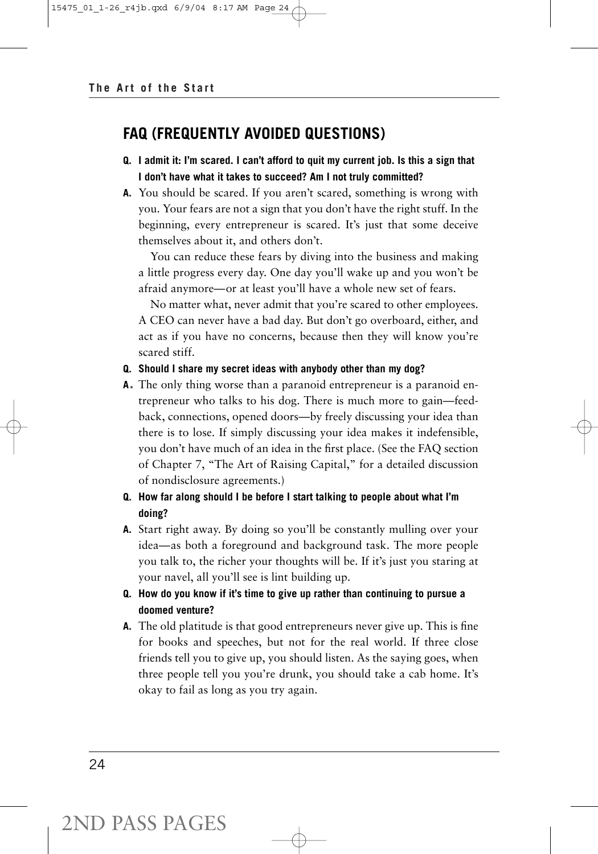## **FAQ (FREQUENTLY AVOIDED QUESTIONS)**

- **Q. I admit it: I'm scared. I can't afford to quit my current job. Is this a sign that I don't have what it takes to succeed? Am I not truly committed?**
- **A.** You should be scared. If you aren't scared, something is wrong with you. Your fears are not a sign that you don't have the right stuff. In the beginning, every entrepreneur is scared. It's just that some deceive themselves about it, and others don't.

You can reduce these fears by diving into the business and making a little progress every day. One day you'll wake up and you won't be afraid anymore—or at least you'll have a whole new set of fears.

No matter what, never admit that you're scared to other employees. A CEO can never have a bad day. But don't go overboard, either, and act as if you have no concerns, because then they will know you're scared stiff.

#### **Q. Should I share my secret ideas with anybody other than my dog?**

- **<sup>A</sup>**. The only thing worse than a paranoid entrepreneur is a paranoid entrepreneur who talks to his dog. There is much more to gain—feedback, connections, opened doors—by freely discussing your idea than there is to lose. If simply discussing your idea makes it indefensible, you don't have much of an idea in the first place. (See the FAQ section of Chapter 7, "The Art of Raising Capital," for a detailed discussion of nondisclosure agreements.)
- **Q. How far along should I be before I start talking to people about what I'm doing?**
- **A.** Start right away. By doing so you'll be constantly mulling over your idea—as both a foreground and background task. The more people you talk to, the richer your thoughts will be. If it's just you staring at your navel, all you'll see is lint building up.
- **Q. How do you know if it's time to give up rather than continuing to pursue a doomed venture?**
- **A.** The old platitude is that good entrepreneurs never give up. This is fine for books and speeches, but not for the real world. If three close friends tell you to give up, you should listen. As the saying goes, when three people tell you you're drunk, you should take a cab home. It's okay to fail as long as you try again.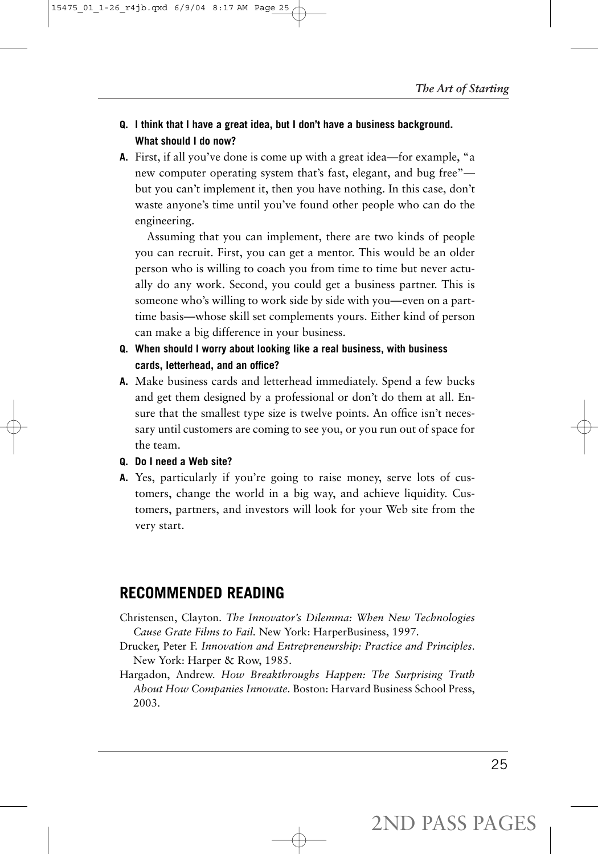#### **Q. I think that I have a great idea, but I don't have a business background. What should I do now?**

**A.** First, if all you've done is come up with a great idea—for example, "a new computer operating system that's fast, elegant, and bug free" but you can't implement it, then you have nothing. In this case, don't waste anyone's time until you've found other people who can do the engineering.

Assuming that you can implement, there are two kinds of people you can recruit. First, you can get a mentor. This would be an older person who is willing to coach you from time to time but never actually do any work. Second, you could get a business partner. This is someone who's willing to work side by side with you—even on a parttime basis—whose skill set complements yours. Either kind of person can make a big difference in your business.

- **Q. When should I worry about looking like a real business, with business cards, letterhead, and an office?**
- **A.** Make business cards and letterhead immediately. Spend a few bucks and get them designed by a professional or don't do them at all. Ensure that the smallest type size is twelve points. An office isn't necessary until customers are coming to see you, or you run out of space for the team.
- **Q. Do I need a Web site?**
- **A.** Yes, particularly if you're going to raise money, serve lots of customers, change the world in a big way, and achieve liquidity. Customers, partners, and investors will look for your Web site from the very start.

## **RECOMMENDED READING**

- Christensen, Clayton. *The Innovator's Dilemma: When New Technologies Cause Grate Films to Fail.* New York: HarperBusiness, 1997.
- Drucker, Peter F. *Innovation and Entrepreneurship: Practice and Principles*. New York: Harper & Row, 1985.
- Hargadon, Andrew. *How Breakthroughs Happen: The Surprising Truth About How Companies Innovate.* Boston: Harvard Business School Press, 2003.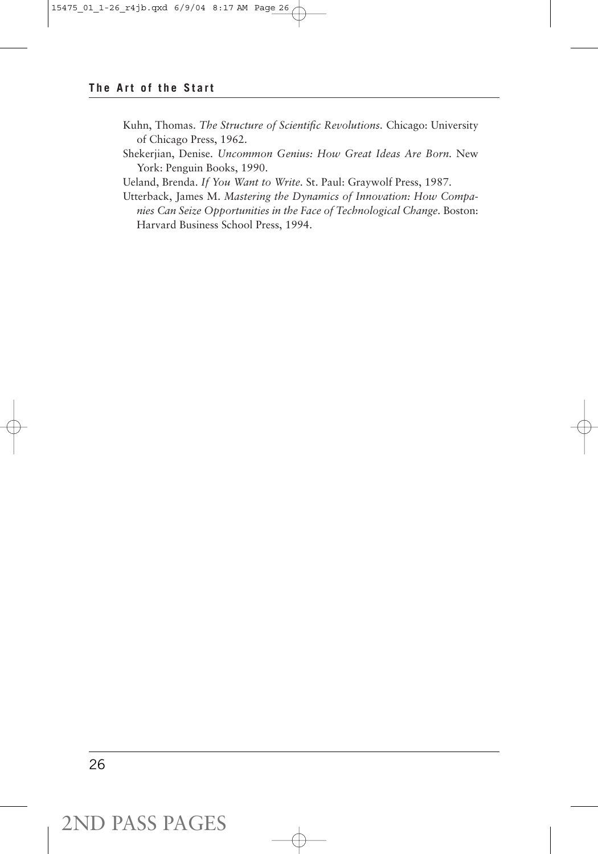- Kuhn, Thomas. *The Structure of Scientific Revolutions.* Chicago: University of Chicago Press, 1962.
- Shekerjian, Denise. *Uncommon Genius: How Great Ideas Are Born.* New York: Penguin Books, 1990.
- Ueland, Brenda. *If You Want to Write.* St. Paul: Graywolf Press, 1987.
- Utterback, James M. *Mastering the Dynamics of Innovation: How Companies Can Seize Opportunities in the Face of Technological Change.* Boston: Harvard Business School Press, 1994.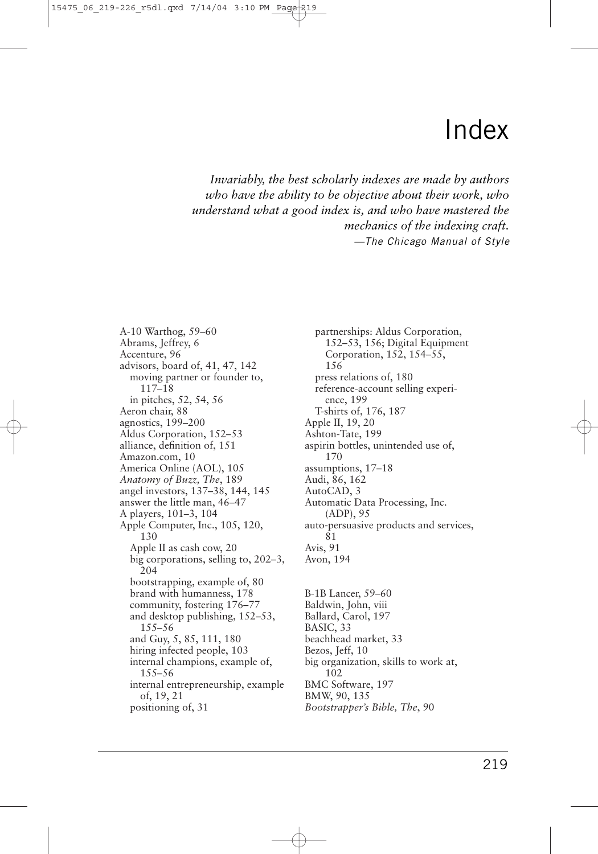## Index

*Invariably, the best scholarly indexes are made by authors who have the ability to be objective about their work, who understand what a good index is, and who have mastered the mechanics of the indexing craft. —The Chicago Manual of Style*

A-10 Warthog, 59–60 Abrams, Jeffrey, 6 Accenture, 96 advisors, board of, 41, 47, 142 moving partner or founder to, 117–18 in pitches, 52, 54, 56 Aeron chair, 88 agnostics, 199–200 Aldus Corporation, 152–53 alliance, definition of, 151 Amazon.com, 10 America Online (AOL), 105 *Anatomy of Buzz, The*, 189 angel investors, 137–38, 144, 145 answer the little man, 46–47 A players, 101–3, 104 Apple Computer, Inc., 105, 120, 130 Apple II as cash cow, 20 big corporations, selling to, 202–3, 204 bootstrapping, example of, 80 brand with humanness, 178 community, fostering 176–77 and desktop publishing, 152–53, 155–56 and Guy, 5, 85, 111, 180 hiring infected people, 103 internal champions, example of, 155–56 internal entrepreneurship, example of, 19, 21 positioning of, 31

partnerships: Aldus Corporation, 152–53, 156; Digital Equipment Corporation, 152, 154–55, 156 press relations of, 180 reference-account selling experience, 199 T-shirts of, 176, 187 Apple II, 19, 20 Ashton-Tate, 199 aspirin bottles, unintended use of, 170 assumptions, 17–18 Audi, 86, 162 AutoCAD, 3 Automatic Data Processing, Inc. (ADP), 95 auto-persuasive products and services, 81 Avis, 91 Avon, 194

B-1B Lancer, 59–60 Baldwin, John, viii Ballard, Carol, 197 BASIC, 33 beachhead market, 33 Bezos, Jeff, 10 big organization, skills to work at, 102 BMC Software, 197 BMW, 90, 135 *Bootstrapper's Bible, The*, 90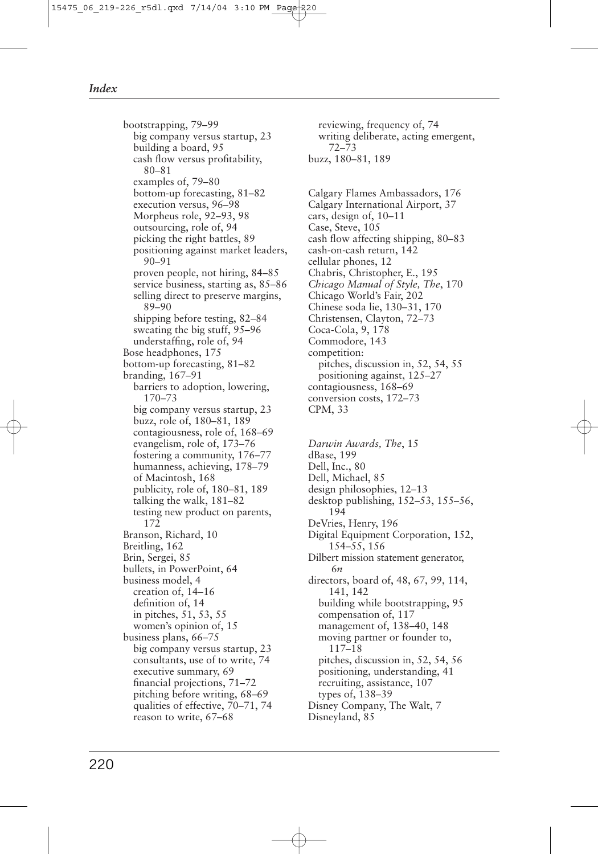bootstrapping, 79–99 big company versus startup, 23 building a board, 95 cash flow versus profitability, 80–81 examples of, 79–80 bottom-up forecasting, 81–82 execution versus, 96–98 Morpheus role, 92–93, 98 outsourcing, role of, 94 picking the right battles, 89 positioning against market leaders, 90–91 proven people, not hiring, 84–85 service business, starting as, 85–86 selling direct to preserve margins, 89–90 shipping before testing, 82–84 sweating the big stuff, 95–96 understaffing, role of, 94 Bose headphones, 175 bottom-up forecasting, 81–82 branding, 167–91 barriers to adoption, lowering, 170–73 big company versus startup, 23 buzz, role of, 180–81, 189 contagiousness, role of, 168–69 evangelism, role of, 173–76 fostering a community, 176–77 humanness, achieving, 178–79 of Macintosh, 168 publicity, role of, 180–81, 189 talking the walk, 181–82 testing new product on parents, 172 Branson, Richard, 10 Breitling, 162 Brin, Sergei, 85 bullets, in PowerPoint, 64 business model, 4 creation of, 14–16 definition of, 14 in pitches, 51, 53, 55 women's opinion of, 15 business plans, 66–75 big company versus startup, 23 consultants, use of to write, 74 executive summary, 69 financial projections, 71–72 pitching before writing, 68–69 qualities of effective, 70–71, 74 reason to write, 67–68

reviewing, frequency of, 74 writing deliberate, acting emergent, 72–73 buzz, 180–81, 189

Calgary Flames Ambassadors, 176 Calgary International Airport, 37 cars, design of, 10–11 Case, Steve, 105 cash flow affecting shipping, 80–83 cash-on-cash return, 142 cellular phones, 12 Chabris, Christopher, E., 195 *Chicago Manual of Style, The*, 170 Chicago World's Fair, 202 Chinese soda lie, 130–31, 170 Christensen, Clayton, 72–73 Coca-Cola, 9, 178 Commodore, 143 competition: pitches, discussion in, 52, 54, 55 positioning against, 125–27 contagiousness, 168–69 conversion costs, 172–73 CPM, 33

*Darwin Awards, The*, 15 dBase, 199 Dell, Inc., 80 Dell, Michael, 85 design philosophies, 12–13 desktop publishing, 152–53, 155–56, 194 DeVries, Henry, 196 Digital Equipment Corporation, 152, 154–55, 156 Dilbert mission statement generator, 6*n* directors, board of, 48, 67, 99, 114, 141, 142 building while bootstrapping, 95 compensation of, 117 management of, 138–40, 148 moving partner or founder to, 117–18 pitches, discussion in, 52, 54, 56 positioning, understanding, 41 recruiting, assistance, 107 types of, 138–39 Disney Company, The Walt, 7 Disneyland, 85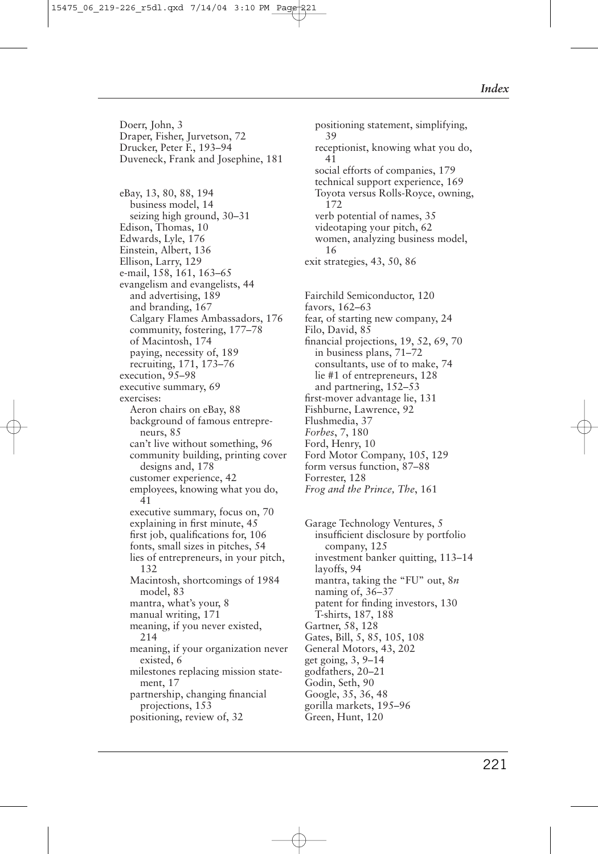Doerr, John, 3 Draper, Fisher, Jurvetson, 72 Drucker, Peter F., 193–94 Duveneck, Frank and Josephine, 181 eBay, 13, 80, 88, 194 business model, 14 seizing high ground, 30–31 Edison, Thomas, 10 Edwards, Lyle, 176 Einstein, Albert, 136 Ellison, Larry, 129 e-mail, 158, 161, 163–65 evangelism and evangelists, 44 and advertising, 189 and branding, 167 Calgary Flames Ambassadors, 176 community, fostering, 177–78 of Macintosh, 174 paying, necessity of, 189 recruiting, 171, 173–76 execution, 95–98 executive summary, 69 exercises: Aeron chairs on eBay, 88 background of famous entrepreneurs, 85 can't live without something, 96 community building, printing cover designs and, 178 customer experience, 42 employees, knowing what you do, 41 executive summary, focus on, 70 explaining in first minute, 45 first job, qualifications for, 106 fonts, small sizes in pitches, 54 lies of entrepreneurs, in your pitch, 132 Macintosh, shortcomings of 1984 model, 83 mantra, what's your, 8 manual writing, 171 meaning, if you never existed, 214 meaning, if your organization never existed, 6 milestones replacing mission statement, 17 partnership, changing financial projections, 153 positioning, review of, 32

positioning statement, simplifying, 39 receptionist, knowing what you do, 41 social efforts of companies, 179 technical support experience, 169 Toyota versus Rolls-Royce, owning, 172 verb potential of names, 35 videotaping your pitch, 62 women, analyzing business model, 16 exit strategies, 43, 50, 86

Fairchild Semiconductor, 120 favors, 162–63 fear, of starting new company, 24 Filo, David, 85 financial projections, 19, 52, 69, 70 in business plans, 71–72 consultants, use of to make, 74 lie #1 of entrepreneurs, 128 and partnering, 152–53 first-mover advantage lie, 131 Fishburne, Lawrence, 92 Flushmedia, 37 *Forbes*, 7, 180 Ford, Henry, 10 Ford Motor Company, 105, 129 form versus function, 87–88 Forrester, 128

*Frog and the Prince, The*, 161

Garage Technology Ventures, 5 insufficient disclosure by portfolio company, 125 investment banker quitting, 113–14 layoffs, 94 mantra, taking the "FU" out, 8*n* naming of, 36–37 patent for finding investors, 130 T-shirts, 187, 188 Gartner, 58, 128 Gates, Bill, 5, 85, 105, 108 General Motors, 43, 202 get going, 3, 9–14 godfathers, 20–21 Godin, Seth, 90 Google, 35, 36, 48 gorilla markets, 195–96 Green, Hunt, 120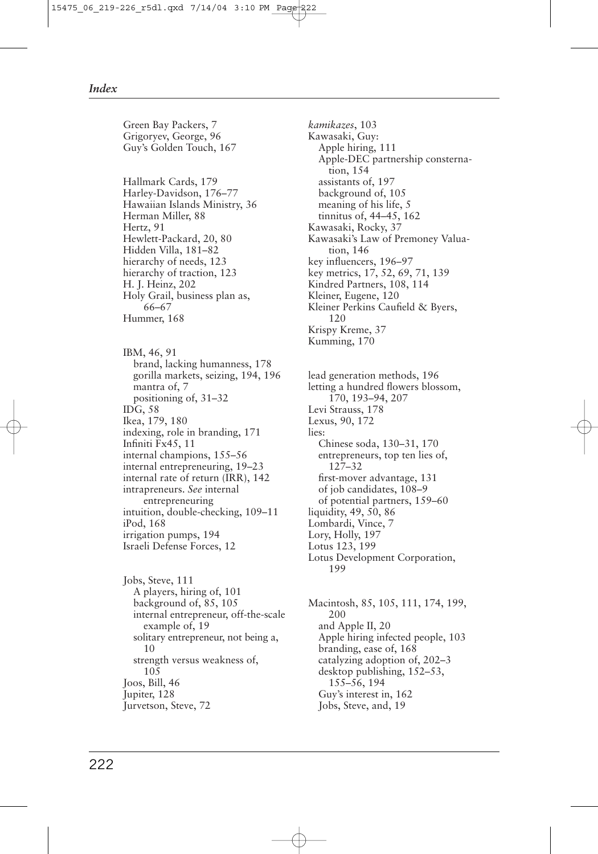Green Bay Packers, 7 Grigoryev, George, 96 Guy's Golden Touch, 167 Hallmark Cards, 179 Harley-Davidson, 176–77 Hawaiian Islands Ministry, 36 Herman Miller, 88 Hertz, 91 Hewlett-Packard, 20, 80 Hidden Villa, 181–82 hierarchy of needs, 123 hierarchy of traction, 123 H. J. Heinz, 202 Holy Grail, business plan as, 66–67 Hummer, 168 IBM, 46, 91 brand, lacking humanness, 178 gorilla markets, seizing, 194, 196 mantra of, 7 positioning of, 31–32 IDG, 58 Ikea, 179, 180 indexing, role in branding, 171 Infiniti Fx45, 11 internal champions, 155–56 internal entrepreneuring, 19–23 internal rate of return (IRR), 142 intrapreneurs. *See* internal entrepreneuring intuition, double-checking, 109–11 iPod, 168 irrigation pumps, 194 Israeli Defense Forces, 12

Jobs, Steve, 111 A players, hiring of, 101 background of, 85, 105 internal entrepreneur, off-the-scale example of, 19 solitary entrepreneur, not being a, 10 strength versus weakness of, 105 Joos, Bill, 46 Jupiter, 128 Jurvetson, Steve, 72

*kamikazes*, 103 Kawasaki, Guy: Apple hiring, 111 Apple-DEC partnership consternation, 154 assistants of, 197 background of, 105 meaning of his life, 5 tinnitus of, 44–45, 162 Kawasaki, Rocky, 37 Kawasaki's Law of Premoney Valuation, 146 key influencers, 196–97 key metrics, 17, 52, 69, 71, 139 Kindred Partners, 108, 114 Kleiner, Eugene, 120 Kleiner Perkins Caufield & Byers, 120 Krispy Kreme, 37 Kumming, 170

lead generation methods, 196 letting a hundred flowers blossom, 170, 193–94, 207 Levi Strauss, 178 Lexus, 90, 172 lies: Chinese soda, 130–31, 170 entrepreneurs, top ten lies of, 127–32 first-mover advantage, 131 of job candidates, 108–9 of potential partners, 159–60 liquidity, 49, 50, 86 Lombardi, Vince, 7 Lory, Holly, 197 Lotus 123, 199 Lotus Development Corporation, 199

Macintosh, 85, 105, 111, 174, 199, 200 and Apple II, 20 Apple hiring infected people, 103 branding, ease of, 168 catalyzing adoption of, 202–3 desktop publishing, 152–53, 155–56, 194 Guy's interest in, 162 Jobs, Steve, and, 19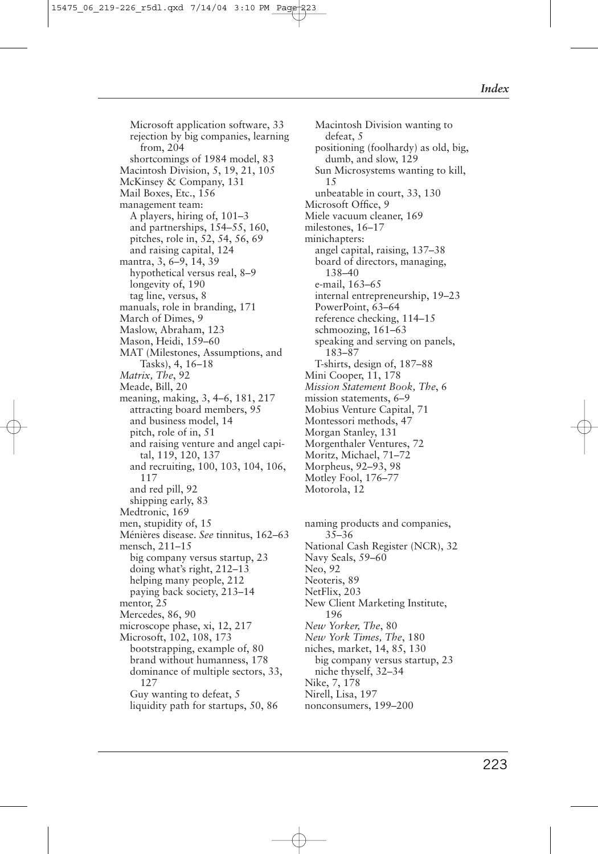Microsoft application software, 33 rejection by big companies, learning from, 204 shortcomings of 1984 model, 83 Macintosh Division, 5, 19, 21, 105 McKinsey & Company, 131 Mail Boxes, Etc., 156 management team: A players, hiring of, 101–3 and partnerships, 154–55, 160, pitches, role in, 52, 54, 56, 69 and raising capital, 124 mantra, 3, 6–9, 14, 39 hypothetical versus real, 8–9 longevity of, 190 tag line, versus, 8 manuals, role in branding, 171 March of Dimes, 9 Maslow, Abraham, 123 Mason, Heidi, 159–60 MAT (Milestones, Assumptions, and Tasks), 4, 16–18 *Matrix, The*, 92 Meade, Bill, 20 meaning, making, 3, 4–6, 181, 217 attracting board members, 95 and business model, 14 pitch, role of in, 51 and raising venture and angel capital, 119, 120, 137 and recruiting, 100, 103, 104, 106, 117 and red pill, 92 shipping early, 83 Medtronic, 169 men, stupidity of, 15 Ménières disease. *See* tinnitus, 162–63 mensch, 211–15 big company versus startup, 23 doing what's right, 212–13 helping many people, 212 paying back society, 213–14 mentor, 25 Mercedes, 86, 90 microscope phase, xi, 12, 217 Microsoft, 102, 108, 173 bootstrapping, example of, 80 brand without humanness, 178 dominance of multiple sectors, 33, 127 Guy wanting to defeat, 5 liquidity path for startups, 50, 86

Macintosh Division wanting to defeat, 5 positioning (foolhardy) as old, big, dumb, and slow, 129 Sun Microsystems wanting to kill, 15 unbeatable in court, 33, 130 Microsoft Office, 9 Miele vacuum cleaner, 169 milestones, 16–17 minichapters: angel capital, raising, 137–38 board of directors, managing, 138–40 e-mail, 163–65 internal entrepreneurship, 19–23 PowerPoint, 63–64 reference checking, 114–15 schmoozing, 161–63 speaking and serving on panels, 183–87 T-shirts, design of, 187–88 Mini Cooper, 11, 178 *Mission Statement Book, The*, 6 mission statements, 6–9 Mobius Venture Capital, 71 Montessori methods, 47 Morgan Stanley, 131 Morgenthaler Ventures, 72 Moritz, Michael, 71–72 Morpheus, 92–93, 98 Motley Fool, 176–77 Motorola, 12

naming products and companies, 35–36 National Cash Register (NCR), 32 Navy Seals, 59–60 Neo, 92 Neoteris, 89 NetFlix, 203 New Client Marketing Institute, 196 *New Yorker, The*, 80 *New York Times, The*, 180 niches, market, 14, 85, 130 big company versus startup, 23 niche thyself, 32–34 Nike, 7, 178 Nirell, Lisa, 197 nonconsumers, 199–200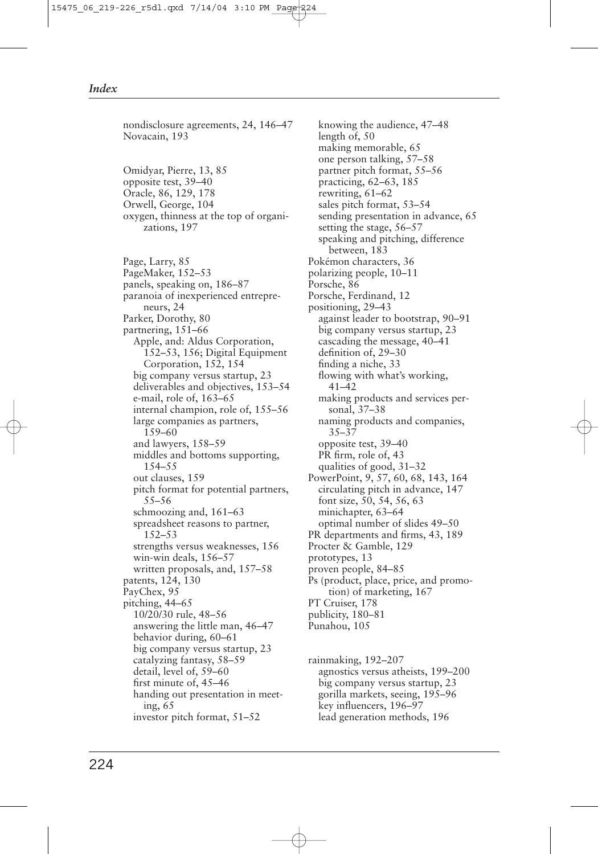nondisclosure agreements, 24, 146–47 Novacain, 193 Omidyar, Pierre, 13, 85 opposite test, 39–40 Oracle, 86, 129, 178 Orwell, George, 104 oxygen, thinness at the top of organizations, 197 Page, Larry, 85 PageMaker, 152–53 panels, speaking on, 186–87 paranoia of inexperienced entrepreneurs, 24 Parker, Dorothy, 80 partnering, 151–66 Apple, and: Aldus Corporation, 152–53, 156; Digital Equipment Corporation, 152, 154 big company versus startup, 23 deliverables and objectives, 153–54 e-mail, role of, 163–65 internal champion, role of, 155–56 large companies as partners, 159–60 and lawyers, 158–59 middles and bottoms supporting, 154–55 out clauses, 159 pitch format for potential partners, 55–56 schmoozing and, 161–63 spreadsheet reasons to partner, 152–53 strengths versus weaknesses, 156 win-win deals, 156–57 written proposals, and, 157–58 patents, 124, 130 PayChex, 95 pitching, 44–65 10/20/30 rule, 48–56 answering the little man, 46–47 behavior during, 60–61 big company versus startup, 23 catalyzing fantasy, 58–59 detail, level of, 59–60 first minute of, 45–46 handing out presentation in meeting, 65 investor pitch format, 51–52

knowing the audience, 47–48 length of, 50 making memorable, 65 one person talking, 57–58 partner pitch format, 55–56 practicing, 62–63, 185 rewriting, 61–62 sales pitch format, 53–54 sending presentation in advance, 65 setting the stage, 56–57 speaking and pitching, difference between, 183 Pokémon characters, 36 polarizing people, 10–11 Porsche, 86 Porsche, Ferdinand, 12 positioning, 29–43 against leader to bootstrap, 90–91 big company versus startup, 23 cascading the message, 40–41 definition of, 29–30 finding a niche, 33 flowing with what's working, 41–42 making products and services personal, 37–38 naming products and companies, 35–37 opposite test, 39–40 PR firm, role of, 43 qualities of good, 31–32 PowerPoint, 9, 57, 60, 68, 143, 164 circulating pitch in advance, 147 font size, 50, 54, 56, 63 minichapter, 63–64 optimal number of slides 49–50 PR departments and firms, 43, 189 Procter & Gamble, 129 prototypes, 13 proven people, 84–85 Ps (product, place, price, and promotion) of marketing, 167 PT Cruiser, 178 publicity, 180–81 Punahou, 105 rainmaking, 192–207

agnostics versus atheists, 199–200 big company versus startup, 23 gorilla markets, seeing, 195–96 key influencers, 196–97 lead generation methods, 196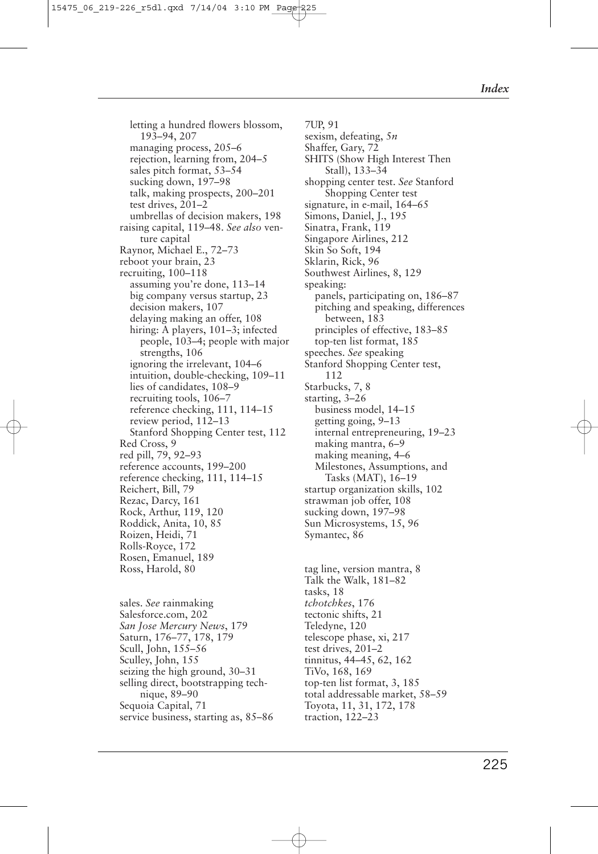letting a hundred flowers blossom, 193–94, 207 managing process, 205–6 rejection, learning from, 204–5 sales pitch format, 53–54 sucking down, 197–98 talk, making prospects, 200–201 test drives, 201–2 umbrellas of decision makers, 198 raising capital, 119–48. *See also* venture capital Raynor, Michael E., 72–73 reboot your brain, 23 recruiting, 100–118 assuming you're done, 113–14 big company versus startup, 23 decision makers, 107 delaying making an offer, 108 hiring: A players, 101–3; infected people, 103–4; people with major strengths, 106 ignoring the irrelevant, 104–6 intuition, double-checking, 109–11 lies of candidates, 108–9 recruiting tools, 106–7 reference checking, 111, 114–15 review period, 112–13 Stanford Shopping Center test, 112 Red Cross, 9 red pill, 79, 92–93 reference accounts, 199–200 reference checking, 111, 114–15 Reichert, Bill, 79 Rezac, Darcy, 161 Rock, Arthur, 119, 120 Roddick, Anita, 10, 85 Roizen, Heidi, 71 Rolls-Royce, 172 Rosen, Emanuel, 189 Ross, Harold, 80

sales. *See* rainmaking Salesforce.com, 202 *San Jose Mercury News*, 179 Saturn, 176–77, 178, 179 Scull, John, 155–56 Sculley, John, 155 seizing the high ground, 30–31 selling direct, bootstrapping technique, 89–90 Sequoia Capital, 71 service business, starting as, 85–86

7UP, 91 sexism, defeating, 5*n* Shaffer, Gary, 72 SHITS (Show High Interest Then Stall), 133–34 shopping center test. *See* Stanford Shopping Center test signature, in e-mail, 164–65 Simons, Daniel, J., 195 Sinatra, Frank, 119 Singapore Airlines, 212 Skin So Soft, 194 Sklarin, Rick, 96 Southwest Airlines, 8, 129 speaking: panels, participating on, 186–87 pitching and speaking, differences between, 183 principles of effective, 183–85 top-ten list format, 185 speeches. *See* speaking Stanford Shopping Center test, 112 Starbucks, 7, 8 starting, 3–26 business model, 14–15 getting going, 9–13 internal entrepreneuring, 19–23 making mantra, 6–9 making meaning, 4–6 Milestones, Assumptions, and Tasks (MAT), 16–19 startup organization skills, 102 strawman job offer, 108 sucking down, 197–98 Sun Microsystems, 15, 96 Symantec, 86

tag line, version mantra, 8 Talk the Walk, 181–82 tasks, 18 *tchotchkes*, 176 tectonic shifts, 21 Teledyne, 120 telescope phase, xi, 217 test drives, 201–2 tinnitus, 44–45, 62, 162 TiVo, 168, 169 top-ten list format, 3, 185 total addressable market, 58–59 Toyota, 11, 31, 172, 178 traction, 122–23